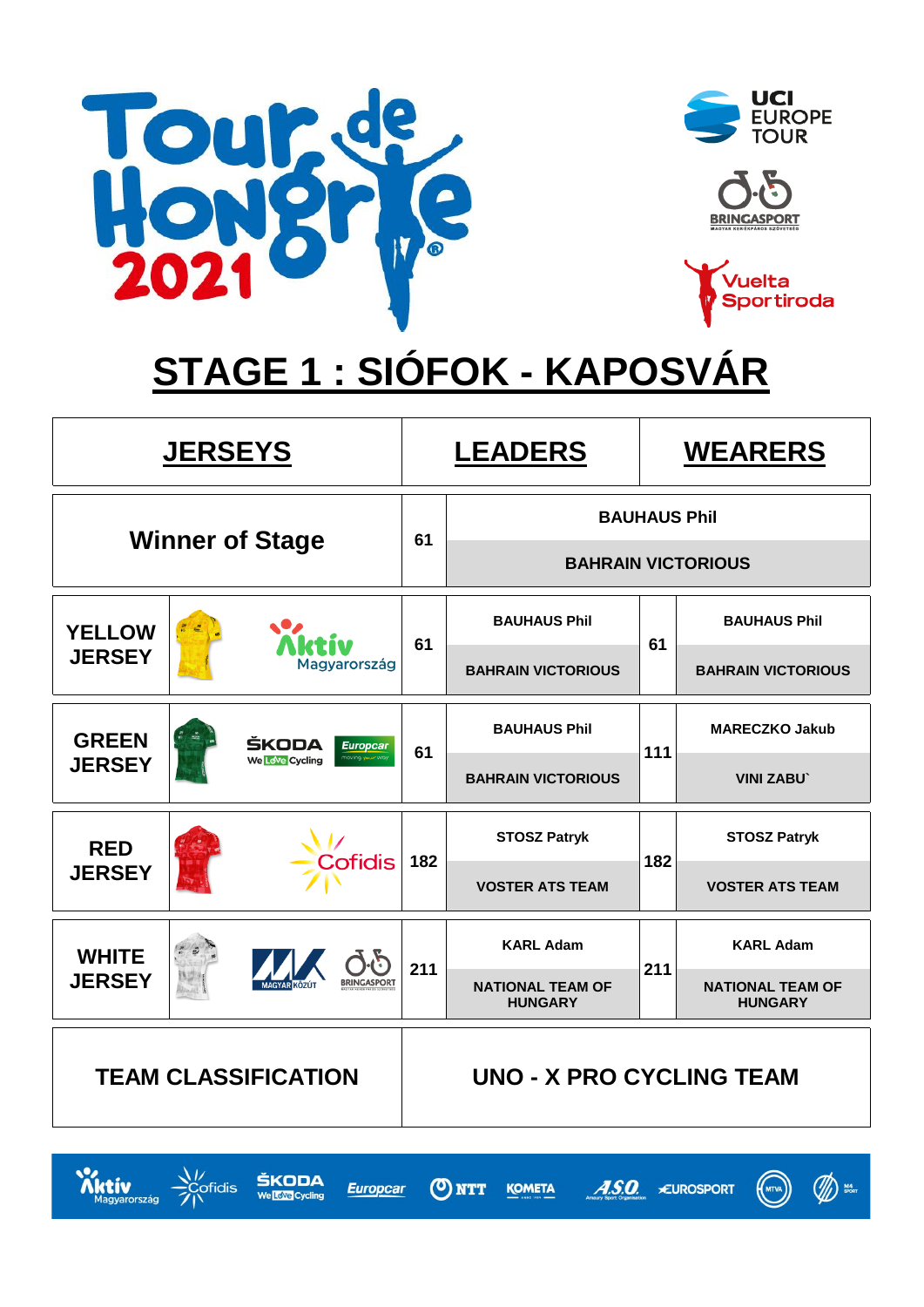







**STAGE 1 : SIÓFOK - KAPOSVÁR**

|                            | <b>JERSEYS</b>         |                                       |     | <b>LEADERS</b><br><b>WEARERS</b>          |     |                                           |  |
|----------------------------|------------------------|---------------------------------------|-----|-------------------------------------------|-----|-------------------------------------------|--|
|                            | <b>Winner of Stage</b> |                                       |     | <b>BAUHAUS Phil</b>                       |     |                                           |  |
|                            |                        |                                       | 61  |                                           |     | <b>BAHRAIN VICTORIOUS</b>                 |  |
| <b>YELLOW</b>              |                        |                                       | 61  | <b>BAUHAUS Phil</b>                       | 61  | <b>BAUHAUS Phil</b>                       |  |
| <b>JERSEY</b>              |                        | ktív<br>Magyarország                  |     | <b>BAHRAIN VICTORIOUS</b>                 |     | <b>BAHRAIN VICTORIOUS</b>                 |  |
| <b>GREEN</b>               |                        | ŠKODA<br><b>Europcar</b>              | 61  | <b>BAUHAUS Phil</b>                       | 111 | <b>MARECZKO Jakub</b>                     |  |
| <b>JERSEY</b>              |                        | hoving your<br><b>We Love Cycling</b> |     | <b>BAHRAIN VICTORIOUS</b>                 |     | <b>VINI ZABU</b>                          |  |
| <b>RED</b>                 |                        | <b>Cofidis</b>                        | 182 | <b>STOSZ Patryk</b>                       | 182 | <b>STOSZ Patryk</b>                       |  |
| <b>JERSEY</b>              |                        |                                       |     | <b>VOSTER ATS TEAM</b>                    |     | <b>VOSTER ATS TEAM</b>                    |  |
| <b>WHITE</b>               |                        |                                       | 211 | <b>KARL Adam</b>                          | 211 | <b>KARL Adam</b>                          |  |
| <b>JERSEY</b>              |                        | <b>BRINGASPORT</b>                    |     | <b>NATIONAL TEAM OF</b><br><b>HUNGARY</b> |     | <b>NATIONAL TEAM OF</b><br><b>HUNGARY</b> |  |
| <b>TEAM CLASSIFICATION</b> |                        |                                       |     | <b>UNO - X PRO CYCLING TEAM</b>           |     |                                           |  |



**Europcar** 

ŠKODA

We Love Cycling

ONTT **KOMETA**  **EUROSPORT** 

 $A.S.O.$ 

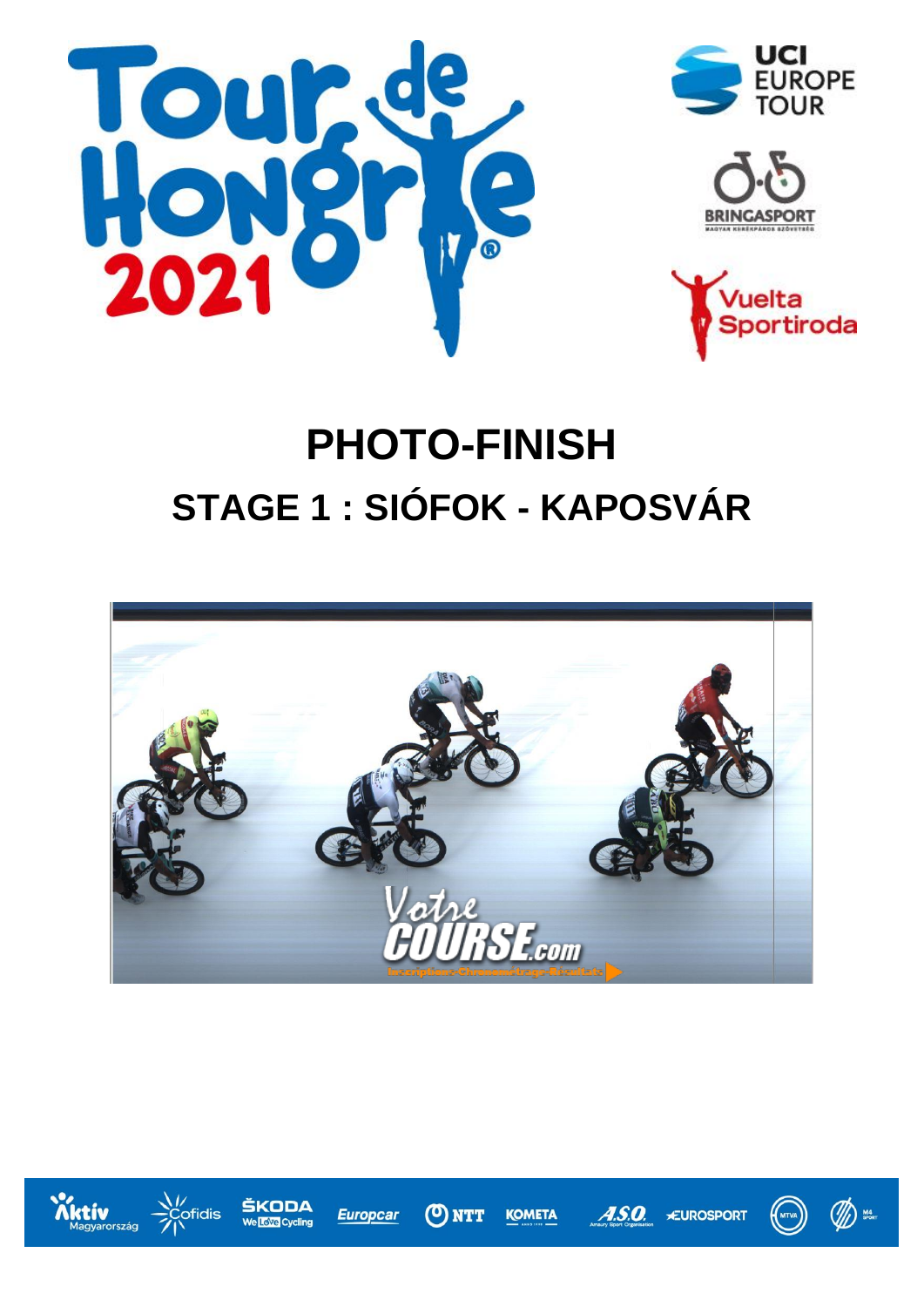

# **PHOTO-FINISH STAGE 1 : SIÓFOK - KAPOSVÁR**



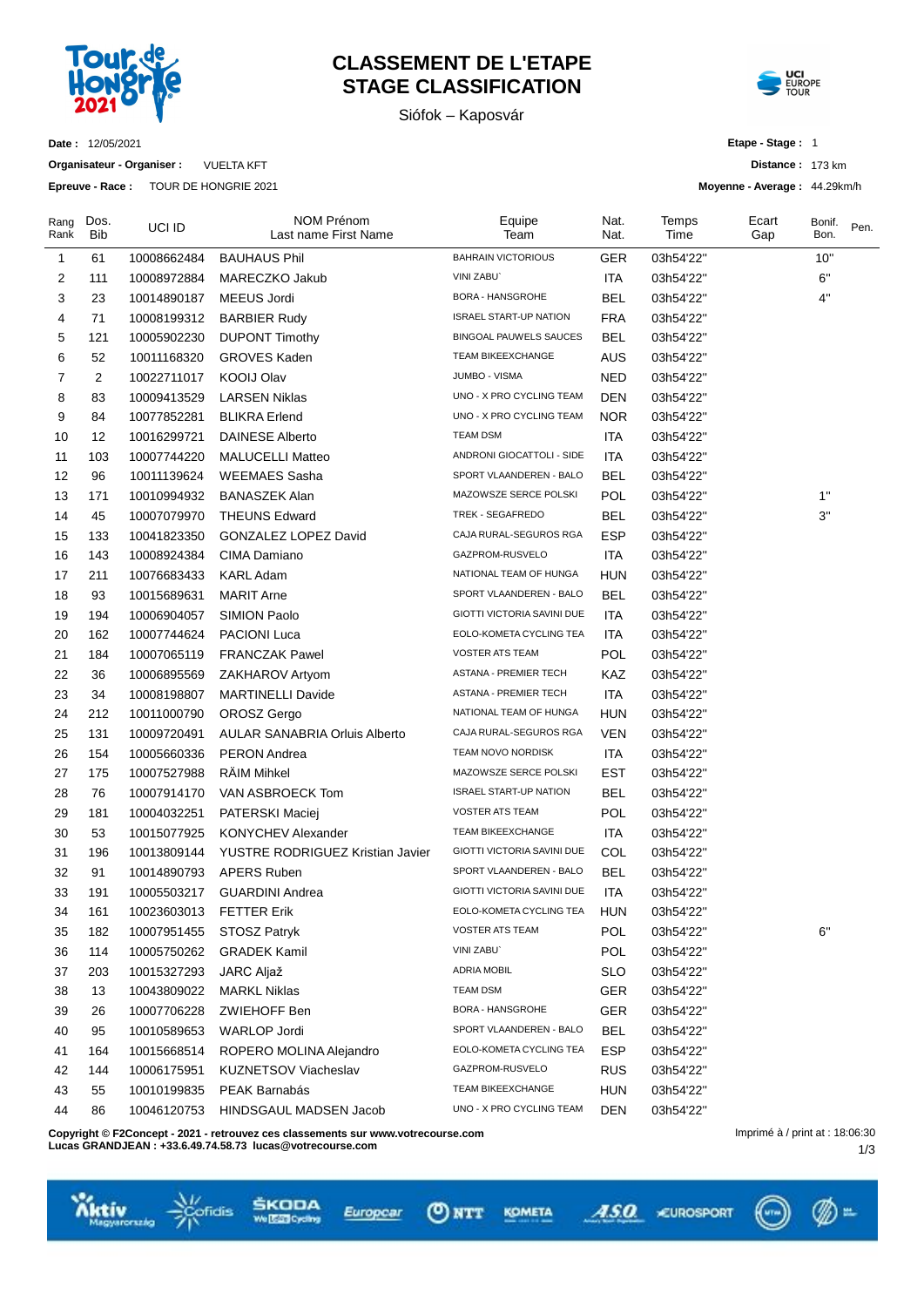

### **CLASSEMENT DE L'ETAPE STAGE CLASSIFICATION**

Siófok – Kaposvár

Equipe Team

Nat. Nat. Temps Time

NOM Prénom Last name First Name



**Distance :** 173 km **Moyenne - Average :** 44.29km/h

> Bonif. Bon.

Pen.

**Etape - Stage :** 1

Ecart Gap

**Date :** 12/05/2021

Dos. Bib

Rang Rank

**Organisateur - Organiser :** VUELTA KFT

**Epreuve - Race :** TOUR DE HONGRIE 2021

UCI ID

| $\mathbf{1}$ | 61  | 10008662484 | <b>BAUHAUS Phil</b>                  | <b>BAHRAIN VICTORIOUS</b>         | GER        | 03h54'22" | 10" |
|--------------|-----|-------------|--------------------------------------|-----------------------------------|------------|-----------|-----|
| 2            | 111 | 10008972884 | MARECZKO Jakub                       | <b>VINI ZABU</b>                  | ITA.       | 03h54'22" | 6"  |
| 3            | 23  | 10014890187 | MEEUS Jordi                          | <b>BORA - HANSGROHE</b>           | <b>BEL</b> | 03h54'22" | 4"  |
| 4            | 71  | 10008199312 | <b>BARBIER Rudy</b>                  | <b>ISRAEL START-UP NATION</b>     | <b>FRA</b> | 03h54'22" |     |
| 5            | 121 | 10005902230 | <b>DUPONT Timothy</b>                | <b>BINGOAL PAUWELS SAUCES</b>     | <b>BEL</b> | 03h54'22" |     |
| 6            | 52  | 10011168320 | <b>GROVES Kaden</b>                  | TEAM BIKEEXCHANGE                 | <b>AUS</b> | 03h54'22" |     |
| 7            | 2   | 10022711017 | KOOIJ Olav                           | JUMBO - VISMA                     | <b>NED</b> | 03h54'22" |     |
| 8            | 83  | 10009413529 | <b>LARSEN Niklas</b>                 | UNO - X PRO CYCLING TEAM          | DEN        | 03h54'22" |     |
| 9            | 84  | 10077852281 | <b>BLIKRA Erlend</b>                 | UNO - X PRO CYCLING TEAM          | <b>NOR</b> | 03h54'22" |     |
| 10           | 12  | 10016299721 | <b>DAINESE Alberto</b>               | <b>TEAM DSM</b>                   | ITA        | 03h54'22" |     |
| 11           | 103 | 10007744220 | <b>MALUCELLI Matteo</b>              | ANDRONI GIOCATTOLI - SIDE         | ITA        | 03h54'22" |     |
| 12           | 96  | 10011139624 | <b>WEEMAES Sasha</b>                 | SPORT VLAANDEREN - BALO           | <b>BEL</b> | 03h54'22" |     |
| 13           | 171 | 10010994932 | <b>BANASZEK Alan</b>                 | MAZOWSZE SERCE POLSKI             | POL        | 03h54'22" | 1"  |
| 14           | 45  | 10007079970 | <b>THEUNS Edward</b>                 | TREK - SEGAFREDO                  | BEL        | 03h54'22" | 3"  |
| 15           | 133 | 10041823350 | GONZALEZ LOPEZ David                 | CAJA RURAL-SEGUROS RGA            | ESP        | 03h54'22" |     |
| 16           | 143 | 10008924384 | CIMA Damiano                         | GAZPROM-RUSVELO                   | <b>ITA</b> | 03h54'22" |     |
| 17           | 211 | 10076683433 | <b>KARL Adam</b>                     | NATIONAL TEAM OF HUNGA            | <b>HUN</b> | 03h54'22" |     |
| 18           | 93  | 10015689631 | <b>MARIT Arne</b>                    | SPORT VLAANDEREN - BALO           | <b>BEL</b> | 03h54'22" |     |
| 19           | 194 | 10006904057 | SIMION Paolo                         | GIOTTI VICTORIA SAVINI DUE        | ITA        | 03h54'22" |     |
| 20           | 162 | 10007744624 | PACIONI Luca                         | EOLO-KOMETA CYCLING TEA           | ITA        | 03h54'22" |     |
| 21           | 184 | 10007065119 | <b>FRANCZAK Pawel</b>                | <b>VOSTER ATS TEAM</b>            | <b>POL</b> | 03h54'22" |     |
| 22           | 36  | 10006895569 | ZAKHAROV Artyom                      | ASTANA - PREMIER TECH             | KAZ        | 03h54'22" |     |
| 23           | 34  | 10008198807 | <b>MARTINELLI Davide</b>             | ASTANA - PREMIER TECH             | ITA        | 03h54'22" |     |
| 24           | 212 | 10011000790 | OROSZ Gergo                          | NATIONAL TEAM OF HUNGA            | HUN        | 03h54'22" |     |
| 25           | 131 | 10009720491 | <b>AULAR SANABRIA Orluis Alberto</b> | CAJA RURAL-SEGUROS RGA            | VEN        | 03h54'22" |     |
| 26           | 154 | 10005660336 | <b>PERON Andrea</b>                  | TEAM NOVO NORDISK                 | ITA        | 03h54'22" |     |
| 27           | 175 | 10007527988 | RÄIM Mihkel                          | MAZOWSZE SERCE POLSKI             | EST        | 03h54'22" |     |
| 28           | 76  | 10007914170 | VAN ASBROECK Tom                     | <b>ISRAEL START-UP NATION</b>     | <b>BEL</b> | 03h54'22" |     |
| 29           | 181 | 10004032251 | PATERSKI Maciej                      | <b>VOSTER ATS TEAM</b>            | POL        | 03h54'22" |     |
| 30           | 53  | 10015077925 | <b>KONYCHEV Alexander</b>            | TEAM BIKEEXCHANGE                 | ITA        | 03h54'22" |     |
| 31           | 196 | 10013809144 | YUSTRE RODRIGUEZ Kristian Javier     | GIOTTI VICTORIA SAVINI DUE        | COL        | 03h54'22" |     |
| 32           | 91  | 10014890793 | <b>APERS Ruben</b>                   | SPORT VLAANDEREN - BALO           | <b>BEL</b> | 03h54'22" |     |
| 33           | 191 | 10005503217 | <b>GUARDINI Andrea</b>               | <b>GIOTTI VICTORIA SAVINI DUE</b> | ITA        | 03h54'22" |     |
| 34           | 161 | 10023603013 | <b>FETTER Erik</b>                   | EOLO-KOMETA CYCLING TEA           | HUN        | 03h54'22" |     |
| 35           | 182 | 10007951455 | STOSZ Patryk                         | <b>VOSTER ATS TEAM</b>            | <b>POL</b> | 03h54'22" | 6"  |
| 36           | 114 | 10005750262 | <b>GRADEK Kamil</b>                  | VINI ZABUY                        | <b>POL</b> | 03h54'22" |     |
| 37           | 203 | 10015327293 | <b>JARC Aljaž</b>                    | <b>ADRIA MOBIL</b>                | <b>SLO</b> | 03h54'22" |     |
| 38           | 13  | 10043809022 | <b>MARKL Niklas</b>                  | <b>TEAM DSM</b>                   | GER        | 03h54'22" |     |
| 39           | 26  | 10007706228 | <b>ZWIEHOFF Ben</b>                  | <b>BORA - HANSGROHE</b>           | GER        | 03h54'22" |     |
| 40           | 95  | 10010589653 | <b>WARLOP Jordi</b>                  | SPORT VLAANDEREN - BALO           | <b>BEL</b> | 03h54'22" |     |
| 41           | 164 | 10015668514 | ROPERO MOLINA Alejandro              | EOLO-KOMETA CYCLING TEA           | <b>ESP</b> | 03h54'22" |     |
| 42           | 144 | 10006175951 | <b>KUZNETSOV Viacheslav</b>          | GAZPROM-RUSVELO                   | <b>RUS</b> | 03h54'22" |     |
| 43           | 55  | 10010199835 | PEAK Barnabás                        | TEAM BIKEEXCHANGE                 | <b>HUN</b> | 03h54'22" |     |
| 44           | 86  | 10046120753 | HINDSGAUL MADSEN Jacob               | UNO - X PRO CYCLING TEAM          | <b>DEN</b> | 03h54'22" |     |

**Copyright © F2Concept - 2021 - retrouvez ces classements sur www.votrecourse.com**

**Lucas GRANDJEAN : +33.6.49.74.58.73 lucas@votrecourse.com**

ktiv





(O) NTT

**KOMETA** 

ASO.

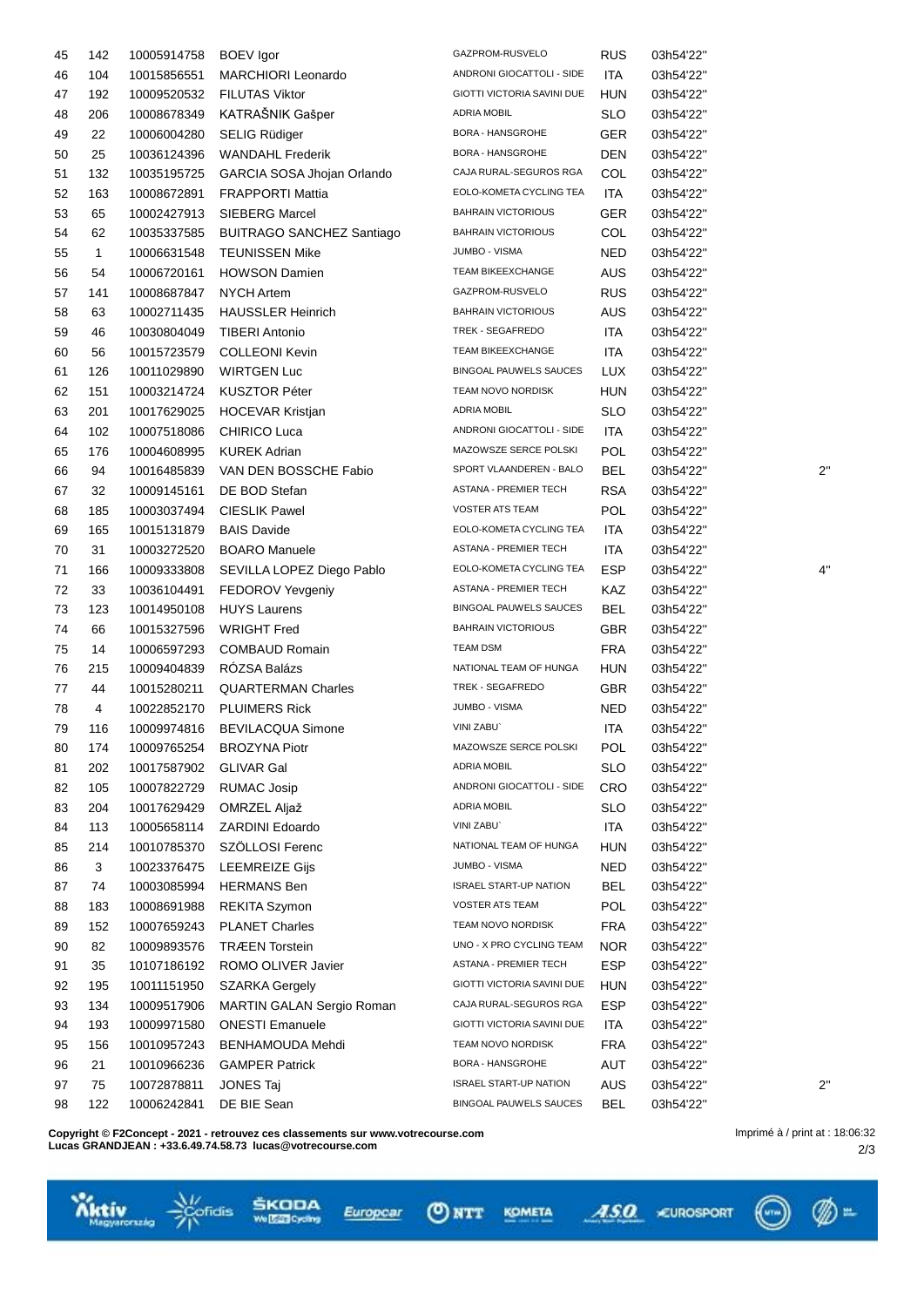| 45 | 142          | 10005914758 | BOEV Igor                        | GAZPROM-RUSVELO               | <b>RUS</b> | 03h54'22" |              |
|----|--------------|-------------|----------------------------------|-------------------------------|------------|-----------|--------------|
| 46 | 104          | 10015856551 | <b>MARCHIORI Leonardo</b>        | ANDRONI GIOCATTOLI - SIDE     | <b>ITA</b> | 03h54'22" |              |
| 47 | 192          | 10009520532 | <b>FILUTAS Viktor</b>            | GIOTTI VICTORIA SAVINI DUE    | HUN        | 03h54'22" |              |
| 48 | 206          | 10008678349 | KATRAŠNIK Gašper                 | <b>ADRIA MOBIL</b>            | <b>SLO</b> | 03h54'22" |              |
| 49 | 22           | 10006004280 | <b>SELIG Rüdiger</b>             | <b>BORA - HANSGROHE</b>       | <b>GER</b> | 03h54'22" |              |
| 50 | 25           | 10036124396 | <b>WANDAHL Frederik</b>          | <b>BORA - HANSGROHE</b>       | DEN        | 03h54'22" |              |
| 51 | 132          | 10035195725 | GARCIA SOSA Jhojan Orlando       | CAJA RURAL-SEGUROS RGA        | <b>COL</b> | 03h54'22" |              |
| 52 | 163          | 10008672891 | <b>FRAPPORTI Mattia</b>          | EOLO-KOMETA CYCLING TEA       | ITA        | 03h54'22" |              |
| 53 | 65           | 10002427913 | <b>SIEBERG Marcel</b>            | <b>BAHRAIN VICTORIOUS</b>     | GER        | 03h54'22" |              |
| 54 | 62           | 10035337585 | <b>BUITRAGO SANCHEZ Santiago</b> | <b>BAHRAIN VICTORIOUS</b>     | COL        | 03h54'22" |              |
| 55 | $\mathbf{1}$ | 10006631548 | <b>TEUNISSEN Mike</b>            | JUMBO - VISMA                 | <b>NED</b> | 03h54'22" |              |
| 56 | 54           | 10006720161 | <b>HOWSON Damien</b>             | TEAM BIKEEXCHANGE             | <b>AUS</b> | 03h54'22" |              |
| 57 | 141          | 10008687847 | <b>NYCH Artem</b>                | GAZPROM-RUSVELO               | <b>RUS</b> | 03h54'22" |              |
| 58 | 63           | 10002711435 | <b>HAUSSLER Heinrich</b>         | <b>BAHRAIN VICTORIOUS</b>     | <b>AUS</b> | 03h54'22" |              |
| 59 | 46           | 10030804049 | <b>TIBERI Antonio</b>            | TREK - SEGAFREDO              | ITA        | 03h54'22" |              |
| 60 | 56           | 10015723579 | <b>COLLEONI Kevin</b>            | <b>TEAM BIKEEXCHANGE</b>      | ITA        | 03h54'22" |              |
| 61 | 126          | 10011029890 | <b>WIRTGEN Luc</b>               | <b>BINGOAL PAUWELS SAUCES</b> | LUX.       | 03h54'22" |              |
| 62 | 151          | 10003214724 | <b>KUSZTOR Péter</b>             | TEAM NOVO NORDISK             | HUN        | 03h54'22" |              |
| 63 | 201          | 10017629025 | HOCEVAR Kristjan                 | <b>ADRIA MOBIL</b>            | <b>SLO</b> | 03h54'22" |              |
| 64 | 102          | 10007518086 | CHIRICO Luca                     | ANDRONI GIOCATTOLI - SIDE     | <b>ITA</b> | 03h54'22" |              |
| 65 | 176          | 10004608995 | <b>KUREK Adrian</b>              | MAZOWSZE SERCE POLSKI         | <b>POL</b> | 03h54'22" |              |
| 66 | 94           | 10016485839 | VAN DEN BOSSCHE Fabio            | SPORT VLAANDEREN - BALO       | BEL        | 03h54'22" | $2^{\prime}$ |
| 67 | 32           | 10009145161 | DE BOD Stefan                    | <b>ASTANA - PREMIER TECH</b>  | <b>RSA</b> | 03h54'22" |              |
| 68 | 185          | 10003037494 | <b>CIESLIK Pawel</b>             | <b>VOSTER ATS TEAM</b>        | <b>POL</b> | 03h54'22" |              |
| 69 | 165          | 10015131879 | <b>BAIS Davide</b>               | EOLO-KOMETA CYCLING TEA       | ITA        | 03h54'22" |              |
| 70 | 31           | 10003272520 | <b>BOARO</b> Manuele             | ASTANA - PREMIER TECH         | <b>ITA</b> | 03h54'22" |              |
| 71 | 166          | 10009333808 | SEVILLA LOPEZ Diego Pablo        | EOLO-KOMETA CYCLING TEA       | ESP        | 03h54'22" | 4'           |
| 72 | 33           | 10036104491 | FEDOROV Yevgeniy                 | ASTANA - PREMIER TECH         | KAZ        | 03h54'22" |              |
| 73 | 123          | 10014950108 | <b>HUYS Laurens</b>              | <b>BINGOAL PAUWELS SAUCES</b> | BEL        | 03h54'22" |              |
| 74 | 66           | 10015327596 | <b>WRIGHT Fred</b>               | <b>BAHRAIN VICTORIOUS</b>     | <b>GBR</b> | 03h54'22" |              |
| 75 | 14           | 10006597293 | <b>COMBAUD Romain</b>            | <b>TEAM DSM</b>               | <b>FRA</b> | 03h54'22" |              |
| 76 | 215          | 10009404839 | RÓZSA Balázs                     | NATIONAL TEAM OF HUNGA        | HUN        | 03h54'22" |              |
| 77 | 44           | 10015280211 | <b>QUARTERMAN Charles</b>        | TREK - SEGAFREDO              | GBR.       | 03h54'22" |              |
| 78 | 4            | 10022852170 | <b>PLUIMERS Rick</b>             | JUMBO - VISMA                 | NED        | 03h54'22" |              |
| 79 | 116          |             | 10009974816 BEVILACQUA Simone    | VINI ZABU`                    | ITA        | 03h54'22" |              |
| 80 | 174          | 10009765254 | <b>BROZYNA Piotr</b>             | MAZOWSZE SERCE POLSKI         | POL        | 03h54'22" |              |
| 81 | 202          | 10017587902 | <b>GLIVAR Gal</b>                | <b>ADRIA MOBIL</b>            | SLO        | 03h54'22" |              |
| 82 | 105          | 10007822729 | <b>RUMAC Josip</b>               | ANDRONI GIOCATTOLI - SIDE     | <b>CRO</b> | 03h54'22" |              |
| 83 | 204          | 10017629429 | OMRZEL Aljaž                     | <b>ADRIA MOBIL</b>            | <b>SLO</b> | 03h54'22" |              |
| 84 | 113          | 10005658114 | ZARDINI Edoardo                  | VINI ZABU`                    | ITA        | 03h54'22" |              |
| 85 | 214          | 10010785370 | SZÖLLOSI Ferenc                  | NATIONAL TEAM OF HUNGA        | HUN        | 03h54'22" |              |
| 86 | 3            | 10023376475 | <b>LEEMREIZE Gijs</b>            | JUMBO - VISMA                 | <b>NED</b> | 03h54'22" |              |
| 87 | 74           | 10003085994 | <b>HERMANS Ben</b>               | <b>ISRAEL START-UP NATION</b> | <b>BEL</b> | 03h54'22" |              |
| 88 | 183          | 10008691988 | REKITA Szymon                    | <b>VOSTER ATS TEAM</b>        | POL        | 03h54'22" |              |
| 89 | 152          | 10007659243 | <b>PLANET Charles</b>            | TEAM NOVO NORDISK             | <b>FRA</b> | 03h54'22" |              |
| 90 | 82           | 10009893576 | <b>TRÆEN Torstein</b>            | UNO - X PRO CYCLING TEAM      | NOR.       | 03h54'22" |              |
| 91 | 35           | 10107186192 | ROMO OLIVER Javier               | ASTANA - PREMIER TECH         | <b>ESP</b> | 03h54'22" |              |
| 92 | 195          | 10011151950 | <b>SZARKA Gergely</b>            | GIOTTI VICTORIA SAVINI DUE    | HUN        | 03h54'22" |              |
| 93 | 134          | 10009517906 | MARTIN GALAN Sergio Roman        | CAJA RURAL-SEGUROS RGA        | <b>ESP</b> | 03h54'22" |              |
| 94 | 193          | 10009971580 | <b>ONESTI Emanuele</b>           | GIOTTI VICTORIA SAVINI DUE    | ITA        | 03h54'22" |              |
| 95 | 156          | 10010957243 | <b>BENHAMOUDA Mehdi</b>          | TEAM NOVO NORDISK             | <b>FRA</b> | 03h54'22" |              |
| 96 | 21           | 10010966236 | <b>GAMPER Patrick</b>            | BORA - HANSGROHE              | AUT        | 03h54'22" |              |
| 97 | 75           | 10072878811 | JONES Taj                        | <b>ISRAEL START-UP NATION</b> | <b>AUS</b> | 03h54'22" | $2^{\prime}$ |
| 98 | 122          | 10006242841 | DE BIE Sean                      | BINGOAL PAUWELS SAUCES        | <b>BEL</b> | 03h54'22" |              |
|    |              |             |                                  |                               |            |           |              |

 $\mathcal{D}$  =

**Copyright © F2Concept - 2021 - retrouvez ces classements sur www.votrecourse.com Lucas GRANDJEAN : +33.6.49.74.58.73 lucas@votrecourse.com**

2/3 Imprimé à / print at : 18:06:32

((…))



ŠKODA<br>**WEB**oshi

Europear

KOMETA ASO CUROSPORT  $Q$  NTT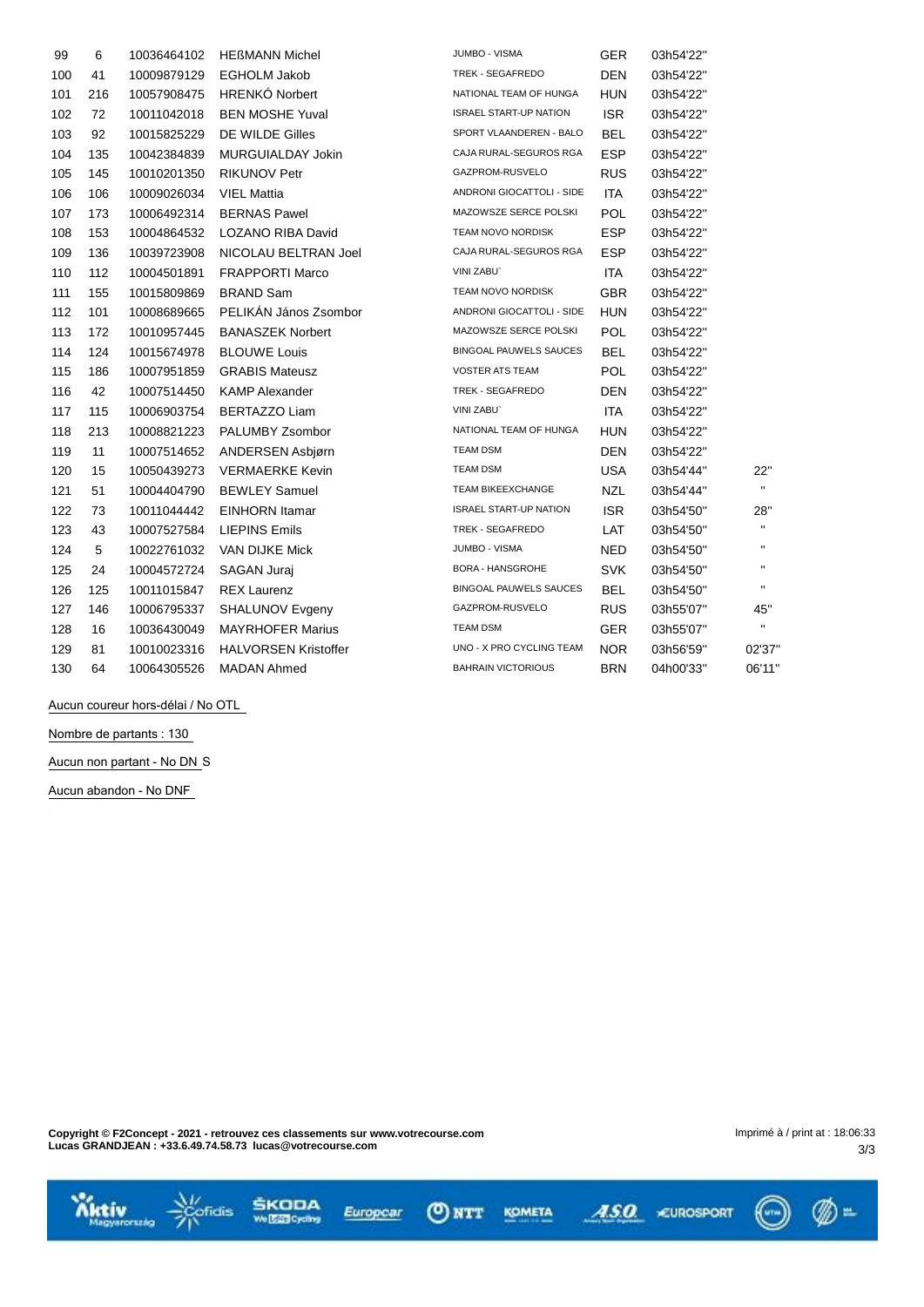| 99  | 6   | 10036464102 | <b>HEßMANN Michel</b>       | <b>JUMBO - VISMA</b>          | <b>GER</b> | 03h54'22" |              |
|-----|-----|-------------|-----------------------------|-------------------------------|------------|-----------|--------------|
| 100 | 41  | 10009879129 | <b>EGHOLM Jakob</b>         | TREK - SEGAFREDO              | <b>DEN</b> | 03h54'22" |              |
| 101 | 216 | 10057908475 | HRENKÓ Norbert              | NATIONAL TEAM OF HUNGA        | <b>HUN</b> | 03h54'22" |              |
| 102 | 72  | 10011042018 | <b>BEN MOSHE Yuval</b>      | <b>ISRAEL START-UP NATION</b> | <b>ISR</b> | 03h54'22" |              |
| 103 | 92  | 10015825229 | DE WILDE Gilles             | SPORT VLAANDEREN - BALO       | <b>BEL</b> | 03h54'22" |              |
| 104 | 135 | 10042384839 | MURGUIALDAY Jokin           | CAJA RURAL-SEGUROS RGA        | <b>ESP</b> | 03h54'22" |              |
| 105 | 145 | 10010201350 | <b>RIKUNOV Petr</b>         | GAZPROM-RUSVELO               | <b>RUS</b> | 03h54'22" |              |
| 106 | 106 | 10009026034 | <b>VIEL Mattia</b>          | ANDRONI GIOCATTOLI - SIDE     | <b>ITA</b> | 03h54'22" |              |
| 107 | 173 | 10006492314 | <b>BERNAS Pawel</b>         | MAZOWSZE SERCE POLSKI         | POL        | 03h54'22" |              |
| 108 | 153 | 10004864532 | LOZANO RIBA David           | TEAM NOVO NORDISK             | <b>ESP</b> | 03h54'22" |              |
| 109 | 136 | 10039723908 | NICOLAU BELTRAN Joel        | CAJA RURAL-SEGUROS RGA        | <b>ESP</b> | 03h54'22" |              |
| 110 | 112 | 10004501891 | <b>FRAPPORTI Marco</b>      | VINI ZABU`                    | <b>ITA</b> | 03h54'22" |              |
| 111 | 155 | 10015809869 | <b>BRAND Sam</b>            | TEAM NOVO NORDISK             | <b>GBR</b> | 03h54'22" |              |
| 112 | 101 | 10008689665 | PELIKÁN János Zsombor       | ANDRONI GIOCATTOLI - SIDE     | <b>HUN</b> | 03h54'22" |              |
| 113 | 172 | 10010957445 | <b>BANASZEK Norbert</b>     | MAZOWSZE SERCE POLSKI         | <b>POL</b> | 03h54'22" |              |
| 114 | 124 | 10015674978 | <b>BLOUWE Louis</b>         | BINGOAL PAUWELS SAUCES        | <b>BEL</b> | 03h54'22" |              |
| 115 | 186 | 10007951859 | <b>GRABIS Mateusz</b>       | VOSTER ATS TEAM               | <b>POL</b> | 03h54'22" |              |
| 116 | 42  | 10007514450 | <b>KAMP Alexander</b>       | TREK - SEGAFREDO              | <b>DEN</b> | 03h54'22" |              |
| 117 | 115 | 10006903754 | <b>BERTAZZO Liam</b>        | VINI ZABU`                    | <b>ITA</b> | 03h54'22" |              |
| 118 | 213 | 10008821223 | PALUMBY Zsombor             | NATIONAL TEAM OF HUNGA        | <b>HUN</b> | 03h54'22" |              |
| 119 | 11  | 10007514652 | ANDERSEN Asbjørn            | <b>TEAM DSM</b>               | <b>DEN</b> | 03h54'22" |              |
| 120 | 15  | 10050439273 | <b>VERMAERKE Kevin</b>      | <b>TEAM DSM</b>               | <b>USA</b> | 03h54'44" | 22"          |
| 121 | 51  | 10004404790 | <b>BEWLEY Samuel</b>        | TEAM BIKEEXCHANGE             | <b>NZL</b> | 03h54'44" | $\mathbf{H}$ |
| 122 | 73  | 10011044442 | <b>EINHORN Itamar</b>       | <b>ISRAEL START-UP NATION</b> | <b>ISR</b> | 03h54'50" | 28"          |
| 123 | 43  | 10007527584 | <b>LIEPINS Emils</b>        | TREK - SEGAFREDO              | <b>LAT</b> | 03h54'50" | $\mathbf{H}$ |
| 124 | 5   | 10022761032 | VAN DIJKE Mick              | JUMBO - VISMA                 | <b>NED</b> | 03h54'50" | $\mathbf{H}$ |
| 125 | 24  | 10004572724 | SAGAN Juraj                 | <b>BORA - HANSGROHE</b>       | <b>SVK</b> | 03h54'50" | $\mathbf H$  |
| 126 | 125 | 10011015847 | <b>REX Laurenz</b>          | <b>BINGOAL PAUWELS SAUCES</b> | <b>BEL</b> | 03h54'50" | $\mathbf{H}$ |
| 127 | 146 | 10006795337 | <b>SHALUNOV Evgeny</b>      | GAZPROM-RUSVELO               | <b>RUS</b> | 03h55'07" | 45"          |
| 128 | 16  | 10036430049 | <b>MAYRHOFER Marius</b>     | <b>TEAM DSM</b>               | <b>GER</b> | 03h55'07" | $\mathbf H$  |
| 129 | 81  | 10010023316 | <b>HALVORSEN Kristoffer</b> | UNO - X PRO CYCLING TEAM      | <b>NOR</b> | 03h56'59" | 02'37'       |
| 130 | 64  | 10064305526 | <b>MADAN Ahmed</b>          | <b>BAHRAIN VICTORIOUS</b>     | <b>BRN</b> | 04h00'33" | 06'11"       |
|     |     |             |                             |                               |            |           |              |

**Aucun coureur hors-délai / No OTL**

**Nombre de partants : 130**

**Aucun non partant - No DN** S

**Aucun abandon - No DNF**

**Wittiv** 

 $\overline{a}$ 

**Copyright © F2Concept - 2021 - retrouvez ces classements sur www.votrecourse.com Lucas GRANDJEAN : +33.6.49.74.58.73 lucas@votrecourse.com**



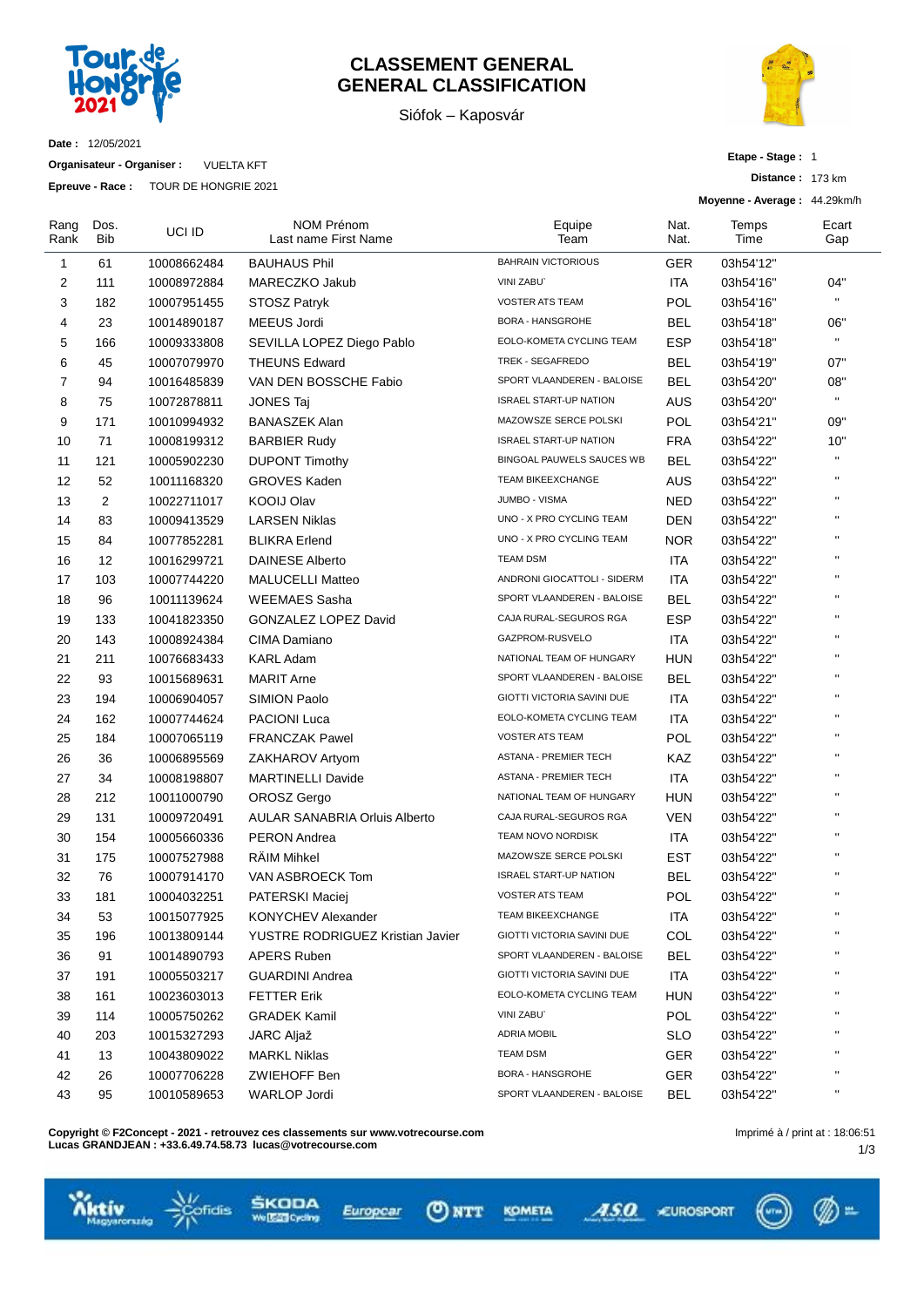

### **CLASSEMENT GENERAL GENERAL CLASSIFICATION**

Siófok – Kaposvár



**Date :** 12/05/2021

**Organisateur - Organiser :** VUELTA KFT

**Epreuve - Race :** TOUR DE HONGRIE 2021

| Etape - Stage: 1 |  |
|------------------|--|
|------------------|--|

**Distance :** 173 km

**Moyenne - Average :** 44.29km/h

| Rang<br>Rank   | Dos.<br><b>Bib</b> | UCI ID      | <b>NOM Prénom</b><br>Last name First Name | Equipe<br>Team                | Nat.<br>Nat. | Temps<br>Time | Ecart<br>Gap |
|----------------|--------------------|-------------|-------------------------------------------|-------------------------------|--------------|---------------|--------------|
| 1              | 61                 | 10008662484 | <b>BAUHAUS Phil</b>                       | <b>BAHRAIN VICTORIOUS</b>     | <b>GER</b>   | 03h54'12"     |              |
| $\overline{2}$ | 111                | 10008972884 | MARECZKO Jakub                            | <b>VINI ZABU</b>              | ITA          | 03h54'16"     | 04"          |
| 3              | 182                | 10007951455 | <b>STOSZ Patryk</b>                       | <b>VOSTER ATS TEAM</b>        | <b>POL</b>   | 03h54'16"     | $\mathbf{H}$ |
| 4              | 23                 | 10014890187 | MEEUS Jordi                               | <b>BORA - HANSGROHE</b>       | <b>BEL</b>   | 03h54'18"     | 06"          |
| 5              | 166                | 10009333808 | SEVILLA LOPEZ Diego Pablo                 | EOLO-KOMETA CYCLING TEAM      | <b>ESP</b>   | 03h54'18"     | $\mathbf{H}$ |
| 6              | 45                 | 10007079970 | <b>THEUNS Edward</b>                      | TREK - SEGAFREDO              | <b>BEL</b>   | 03h54'19"     | 07"          |
| 7              | 94                 | 10016485839 | VAN DEN BOSSCHE Fabio                     | SPORT VLAANDEREN - BALOISE    | <b>BEL</b>   | 03h54'20"     | 08"          |
| 8              | 75                 | 10072878811 | <b>JONES Taj</b>                          | <b>ISRAEL START-UP NATION</b> | AUS          | 03h54'20"     | $\mathbf{H}$ |
| 9              | 171                | 10010994932 | <b>BANASZEK Alan</b>                      | MAZOWSZE SERCE POLSKI         | POL          | 03h54'21"     | 09"          |
| 10             | 71                 | 10008199312 | <b>BARBIER Rudy</b>                       | <b>ISRAEL START-UP NATION</b> | <b>FRA</b>   | 03h54'22"     | 10"          |
| 11             | 121                | 10005902230 | <b>DUPONT Timothy</b>                     | BINGOAL PAUWELS SAUCES WB     | <b>BEL</b>   | 03h54'22"     | $\mathbf{H}$ |
| 12             | 52                 | 10011168320 | <b>GROVES Kaden</b>                       | TEAM BIKEEXCHANGE             | AUS          | 03h54'22"     | $\mathbf{H}$ |
| 13             | 2                  | 10022711017 | <b>KOOIJ Olav</b>                         | <b>JUMBO - VISMA</b>          | <b>NED</b>   | 03h54'22"     | Ĥ.           |
| 14             | 83                 | 10009413529 | <b>LARSEN Niklas</b>                      | UNO - X PRO CYCLING TEAM      | DEN          | 03h54'22"     | $\mathbf{H}$ |
| 15             | 84                 | 10077852281 | <b>BLIKRA Erlend</b>                      | UNO - X PRO CYCLING TEAM      | NOR          | 03h54'22"     | $\mathbf{H}$ |
| 16             | $12 \overline{ }$  | 10016299721 | <b>DAINESE Alberto</b>                    | <b>TEAM DSM</b>               | ITA          | 03h54'22"     | $\mathbf{H}$ |
| 17             | 103                | 10007744220 | <b>MALUCELLI Matteo</b>                   | ANDRONI GIOCATTOLI - SIDERM   | <b>ITA</b>   | 03h54'22"     | $\mathbf{H}$ |
| 18             | 96                 | 10011139624 | <b>WEEMAES Sasha</b>                      | SPORT VLAANDEREN - BALOISE    | BEL          | 03h54'22"     | $\mathbf{H}$ |
| 19             | 133                | 10041823350 | GONZALEZ LOPEZ David                      | CAJA RURAL-SEGUROS RGA        | <b>ESP</b>   | 03h54'22"     | $\mathbf{H}$ |
| 20             | 143                | 10008924384 | CIMA Damiano                              | GAZPROM-RUSVELO               | ITA          | 03h54'22"     | $\mathbf{H}$ |
| 21             | 211                | 10076683433 | <b>KARL Adam</b>                          | NATIONAL TEAM OF HUNGARY      | HUN          | 03h54'22"     | $\mathbf{H}$ |
| 22             | 93                 | 10015689631 | <b>MARIT Arne</b>                         | SPORT VLAANDEREN - BALOISE    | <b>BEL</b>   | 03h54'22"     | $\mathbf{H}$ |
| 23             | 194                | 10006904057 | SIMION Paolo                              | GIOTTI VICTORIA SAVINI DUE    | ITA          | 03h54'22"     | $\mathbf{u}$ |
| 24             | 162                | 10007744624 | <b>PACIONI Luca</b>                       | EOLO-KOMETA CYCLING TEAM      | ITA          | 03h54'22"     | $\mathbf{H}$ |
| 25             | 184                | 10007065119 | <b>FRANCZAK Pawel</b>                     | <b>VOSTER ATS TEAM</b>        | POL          | 03h54'22"     | $\mathbf{H}$ |
| 26             | 36                 | 10006895569 | ZAKHAROV Artyom                           | <b>ASTANA - PREMIER TECH</b>  | KAZ          | 03h54'22"     | $\mathbf{H}$ |
| 27             | 34                 | 10008198807 | <b>MARTINELLI Davide</b>                  | ASTANA - PREMIER TECH         | ITA          | 03h54'22"     | $\mathbf{u}$ |
| 28             | 212                | 10011000790 | OROSZ Gergo                               | NATIONAL TEAM OF HUNGARY      | <b>HUN</b>   | 03h54'22"     | $\mathbf{H}$ |
| 29             | 131                | 10009720491 | <b>AULAR SANABRIA Orluis Alberto</b>      | CAJA RURAL-SEGUROS RGA        | <b>VEN</b>   | 03h54'22"     | $\mathbf{H}$ |
| 30             | 154                | 10005660336 | <b>PERON</b> Andrea                       | <b>TEAM NOVO NORDISK</b>      | ITA          | 03h54'22"     | $\mathbf{H}$ |
| 31             | 175                | 10007527988 | <b>RÄIM Mihkel</b>                        | MAZOWSZE SERCE POLSKI         | EST          | 03h54'22"     | $\mathbf{H}$ |
| 32             | 76                 | 10007914170 | VAN ASBROECK Tom                          | <b>ISRAEL START-UP NATION</b> | BEL          | 03h54'22"     | $\mathbf{H}$ |
| 33             | 181                | 10004032251 | <b>PATERSKI Maciej</b>                    | <b>VOSTER ATS TEAM</b>        | <b>POL</b>   | 03h54'22"     | $\mathbf{H}$ |
| 34             | 53                 | 10015077925 | KONYCHEV Alexander                        | TEAM BIKEEXCHANGE             | <b>ITA</b>   | 03h54'22"     | $\mathbf{H}$ |
| 35             | 196                | 10013809144 | YUSTRE RODRIGUEZ Kristian Javier          | GIOTTI VICTORIA SAVINI DUE    | COL          | 03h54'22"     | $\mathbf{H}$ |
| 36             | 91                 | 10014890793 | APERS Ruben                               | SPORT VLAANDEREN - BALOISE    | <b>BEL</b>   | 03h54'22"     | $\mathbf{H}$ |
| 37             | 191                | 10005503217 | <b>GUARDINI Andrea</b>                    | GIOTTI VICTORIA SAVINI DUE    | ITA          | 03h54'22"     | Ħ            |
| 38             | 161                | 10023603013 | <b>FETTER Erik</b>                        | EOLO-KOMETA CYCLING TEAM      | HUN          | 03h54'22"     |              |
| 39             | 114                | 10005750262 | <b>GRADEK Kamil</b>                       | VINI ZABU`                    | <b>POL</b>   | 03h54'22"     |              |
| 40             | 203                | 10015327293 | JARC Aljaž                                | <b>ADRIA MOBIL</b>            | <b>SLO</b>   | 03h54'22"     |              |
| 41             | 13                 | 10043809022 | <b>MARKL Niklas</b>                       | <b>TEAM DSM</b>               | <b>GER</b>   | 03h54'22"     |              |
| 42             | 26                 | 10007706228 | ZWIEHOFF Ben                              | <b>BORA - HANSGROHE</b>       | <b>GER</b>   | 03h54'22"     |              |
| 43             | 95                 | 10010589653 | <b>WARLOP Jordi</b>                       | SPORT VLAANDEREN - BALOISE    | <b>BEL</b>   | 03h54'22"     |              |

**Copyright © F2Concept - 2021 - retrouvez ces classements sur www.votrecourse.com Lucas GRANDJEAN : +33.6.49.74.58.73 lucas@votrecourse.com**

fidis

m.

ASO CUROSPORT



(ONTT KOMETA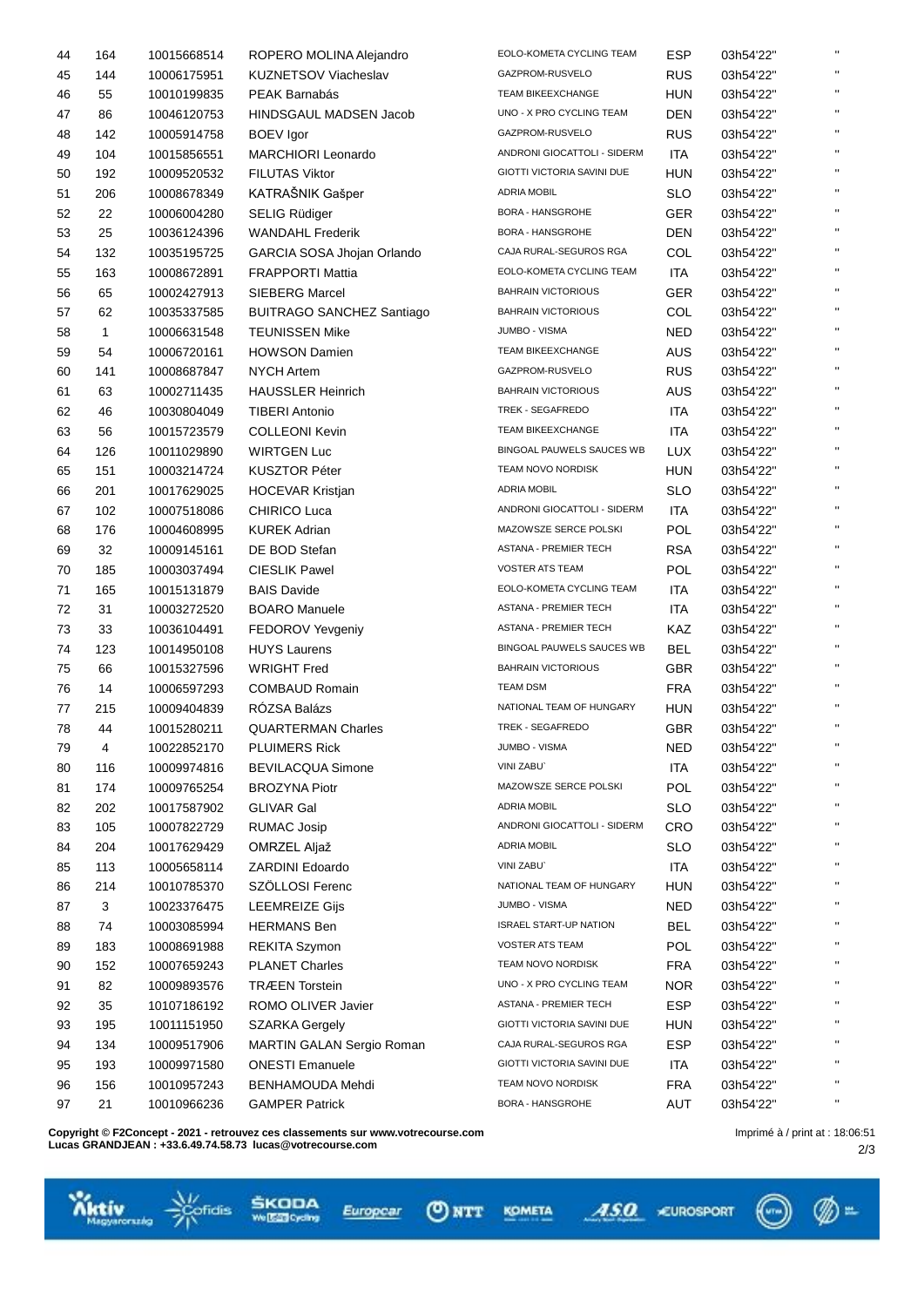| 44 | 164          | 10015668514 | ROPERO MOLINA Alejandro          | EOLO-KOMETA CYCLING TEAM      | <b>ESP</b> | 03h54'22" | $\mathbf{u}$ |
|----|--------------|-------------|----------------------------------|-------------------------------|------------|-----------|--------------|
| 45 | 144          | 10006175951 | <b>KUZNETSOV Viacheslav</b>      | GAZPROM-RUSVELO               | <b>RUS</b> | 03h54'22" | $\mathbf{H}$ |
| 46 | 55           | 10010199835 | PEAK Barnabás                    | <b>TEAM BIKEEXCHANGE</b>      | <b>HUN</b> | 03h54'22" | $\mathbf{H}$ |
| 47 | 86           | 10046120753 | HINDSGAUL MADSEN Jacob           | UNO - X PRO CYCLING TEAM      | <b>DEN</b> | 03h54'22" | $\mathbf{H}$ |
| 48 | 142          | 10005914758 | <b>BOEV</b> Igor                 | GAZPROM-RUSVELO               | <b>RUS</b> | 03h54'22" | $\mathbf{H}$ |
| 49 | 104          | 10015856551 | <b>MARCHIORI Leonardo</b>        | ANDRONI GIOCATTOLI - SIDERM   | ITA        | 03h54'22" | $\mathbf{H}$ |
| 50 | 192          | 10009520532 | <b>FILUTAS Viktor</b>            | GIOTTI VICTORIA SAVINI DUE    | <b>HUN</b> | 03h54'22" | $\mathbf{H}$ |
| 51 | 206          | 10008678349 | KATRAŠNIK Gašper                 | <b>ADRIA MOBIL</b>            | <b>SLO</b> | 03h54'22" | $\mathbf{H}$ |
| 52 | 22           | 10006004280 | <b>SELIG Rüdiger</b>             | <b>BORA - HANSGROHE</b>       | <b>GER</b> | 03h54'22" | $\mathbf{u}$ |
| 53 | 25           | 10036124396 | <b>WANDAHL Frederik</b>          | <b>BORA - HANSGROHE</b>       | <b>DEN</b> | 03h54'22" | $\mathbf{H}$ |
| 54 | 132          | 10035195725 | GARCIA SOSA Jhojan Orlando       | CAJA RURAL-SEGUROS RGA        | COL        | 03h54'22" | $\mathbf{H}$ |
| 55 | 163          | 10008672891 | <b>FRAPPORTI Mattia</b>          | EOLO-KOMETA CYCLING TEAM      | <b>ITA</b> | 03h54'22" | $\mathbf{H}$ |
| 56 | 65           | 10002427913 | <b>SIEBERG Marcel</b>            | <b>BAHRAIN VICTORIOUS</b>     | <b>GER</b> | 03h54'22" | $\mathbf{H}$ |
| 57 | 62           | 10035337585 | <b>BUITRAGO SANCHEZ Santiago</b> | <b>BAHRAIN VICTORIOUS</b>     | <b>COL</b> | 03h54'22" | $\mathbf{H}$ |
| 58 | $\mathbf{1}$ | 10006631548 | <b>TEUNISSEN Mike</b>            | JUMBO - VISMA                 | <b>NED</b> | 03h54'22" | $\mathbf{H}$ |
| 59 | 54           | 10006720161 | <b>HOWSON Damien</b>             | <b>TEAM BIKEEXCHANGE</b>      | <b>AUS</b> | 03h54'22" | $\mathbf{H}$ |
| 60 | 141          | 10008687847 | <b>NYCH Artem</b>                | GAZPROM-RUSVELO               | <b>RUS</b> | 03h54'22" | $\mathbf{u}$ |
| 61 | 63           | 10002711435 | <b>HAUSSLER Heinrich</b>         | <b>BAHRAIN VICTORIOUS</b>     | AUS        | 03h54'22" | $\mathbf{H}$ |
| 62 | 46           | 10030804049 | <b>TIBERI Antonio</b>            | TREK - SEGAFREDO              | <b>ITA</b> | 03h54'22" | $\mathbf{H}$ |
| 63 | 56           | 10015723579 | <b>COLLEONI Kevin</b>            | TEAM BIKEEXCHANGE             | <b>ITA</b> | 03h54'22" | $\mathbf{H}$ |
| 64 | 126          | 10011029890 | <b>WIRTGEN Luc</b>               | BINGOAL PAUWELS SAUCES WB     | <b>LUX</b> | 03h54'22" | $\mathbf{H}$ |
| 65 | 151          | 10003214724 | <b>KUSZTOR Péter</b>             | TEAM NOVO NORDISK             | <b>HUN</b> | 03h54'22" | $\mathbf{H}$ |
| 66 | 201          | 10017629025 | <b>HOCEVAR Kristjan</b>          | <b>ADRIA MOBIL</b>            | <b>SLO</b> | 03h54'22" | $\mathbf{H}$ |
| 67 | 102          | 10007518086 | <b>CHIRICO Luca</b>              | ANDRONI GIOCATTOLI - SIDERM   | <b>ITA</b> | 03h54'22" | $\mathbf{H}$ |
| 68 | 176          | 10004608995 | <b>KUREK Adrian</b>              | MAZOWSZE SERCE POLSKI         | POL        | 03h54'22" | $\mathbf{u}$ |
| 69 | 32           | 10009145161 | DE BOD Stefan                    | ASTANA - PREMIER TECH         | <b>RSA</b> | 03h54'22" | $\mathbf{H}$ |
| 70 | 185          | 10003037494 | <b>CIESLIK Pawel</b>             | <b>VOSTER ATS TEAM</b>        | POL        | 03h54'22" | $\mathbf{H}$ |
| 71 | 165          | 10015131879 | <b>BAIS Davide</b>               | EOLO-KOMETA CYCLING TEAM      | <b>ITA</b> | 03h54'22" | $\mathbf{H}$ |
| 72 | 31           | 10003272520 | <b>BOARO Manuele</b>             | ASTANA - PREMIER TECH         | ITA        | 03h54'22" | $\mathbf{H}$ |
| 73 | 33           | 10036104491 | FEDOROV Yevgeniy                 | ASTANA - PREMIER TECH         | KAZ        | 03h54'22" | $\mathbf{H}$ |
| 74 | 123          | 10014950108 | <b>HUYS Laurens</b>              | BINGOAL PAUWELS SAUCES WB     | <b>BEL</b> | 03h54'22" | $\mathbf{H}$ |
| 75 | 66           | 10015327596 | <b>WRIGHT Fred</b>               | <b>BAHRAIN VICTORIOUS</b>     | <b>GBR</b> | 03h54'22" | $\mathbf{H}$ |
| 76 | 14           | 10006597293 | <b>COMBAUD Romain</b>            | <b>TEAM DSM</b>               | <b>FRA</b> | 03h54'22" | $\mathbf{u}$ |
| 77 | 215          | 10009404839 | RÓZSA Balázs                     | NATIONAL TEAM OF HUNGARY      | HUN        | 03h54'22" | $\mathbf{H}$ |
| 78 | 44           | 10015280211 | <b>QUARTERMAN Charles</b>        | TREK - SEGAFREDO              | <b>GBR</b> | 03h54'22" | $\mathbf{u}$ |
| 79 | 4            | 10022852170 | <b>PLUIMERS Rick</b>             | JUMBO - VISMA                 | <b>NED</b> | 03h54'22" |              |
| 80 | 116          | 10009974816 | <b>BEVILACQUA Simone</b>         | VINI ZABU`                    | <b>ITA</b> | 03h54'22" | $\mathbf{H}$ |
| 81 | 174          | 10009765254 | <b>BROZYNA Piotr</b>             | MAZOWSZE SERCE POLSKI         | POL        | 03h54'22" | $\mathbf{H}$ |
| 82 | 202          | 10017587902 | <b>GLIVAR Gal</b>                | <b>ADRIA MOBIL</b>            | <b>SLO</b> | 03h54'22" | $\mathbf{H}$ |
| 83 | 105          | 10007822729 | <b>RUMAC Josip</b>               | ANDRONI GIOCATTOLI - SIDERM   | <b>CRO</b> | 03h54'22" | $\mathbf{H}$ |
| 84 | 204          | 10017629429 | OMRZEL Aljaž                     | <b>ADRIA MOBIL</b>            | <b>SLO</b> | 03h54'22" | $\mathbf{H}$ |
| 85 | 113          | 10005658114 | <b>ZARDINI Edoardo</b>           | VINI ZABU`                    | <b>ITA</b> | 03h54'22" | $\mathbf{H}$ |
| 86 | 214          | 10010785370 | SZÖLLOSI Ferenc                  | NATIONAL TEAM OF HUNGARY      | <b>HUN</b> | 03h54'22" | $\mathbf{H}$ |
| 87 | 3            | 10023376475 | <b>LEEMREIZE Gijs</b>            | JUMBO - VISMA                 | <b>NED</b> | 03h54'22" |              |
| 88 | 74           | 10003085994 | <b>HERMANS Ben</b>               | <b>ISRAEL START-UP NATION</b> | <b>BEL</b> | 03h54'22" | $\mathbf{H}$ |
| 89 | 183          | 10008691988 | <b>REKITA Szymon</b>             | <b>VOSTER ATS TEAM</b>        | POL        | 03h54'22" | $\mathbf{H}$ |
| 90 | 152          | 10007659243 | <b>PLANET Charles</b>            | TEAM NOVO NORDISK             | <b>FRA</b> | 03h54'22" | $\mathbf{H}$ |
| 91 | 82           | 10009893576 | <b>TRÆEN Torstein</b>            | UNO - X PRO CYCLING TEAM      | NOR.       | 03h54'22" | $\mathbf{H}$ |
| 92 | 35           | 10107186192 | ROMO OLIVER Javier               | ASTANA - PREMIER TECH         | <b>ESP</b> | 03h54'22" | $\mathbf{H}$ |
| 93 | 195          | 10011151950 | <b>SZARKA Gergely</b>            | GIOTTI VICTORIA SAVINI DUE    | HUN        | 03h54'22" | $\mathbf{H}$ |
| 94 | 134          | 10009517906 | MARTIN GALAN Sergio Roman        | CAJA RURAL-SEGUROS RGA        | <b>ESP</b> | 03h54'22" | $\mathbf{H}$ |
| 95 | 193          | 10009971580 | <b>ONESTI Emanuele</b>           | GIOTTI VICTORIA SAVINI DUE    | <b>ITA</b> | 03h54'22" | $\mathbf{H}$ |
| 96 | 156          | 10010957243 | BENHAMOUDA Mehdi                 | TEAM NOVO NORDISK             | <b>FRA</b> | 03h54'22" | $\mathbf{H}$ |
| 97 | 21           | 10010966236 | <b>GAMPER Patrick</b>            | <b>BORA - HANSGROHE</b>       | AUT        | 03h54'22" | $\mathbf{H}$ |
|    |              |             |                                  |                               |            |           |              |

**Copyright © F2Concept - 2021 - retrouvez ces classements sur www.votrecourse.com Lucas GRANDJEAN : +33.6.49.74.58.73 lucas@votrecourse.com**





 $Q$  NTT

KOMETA



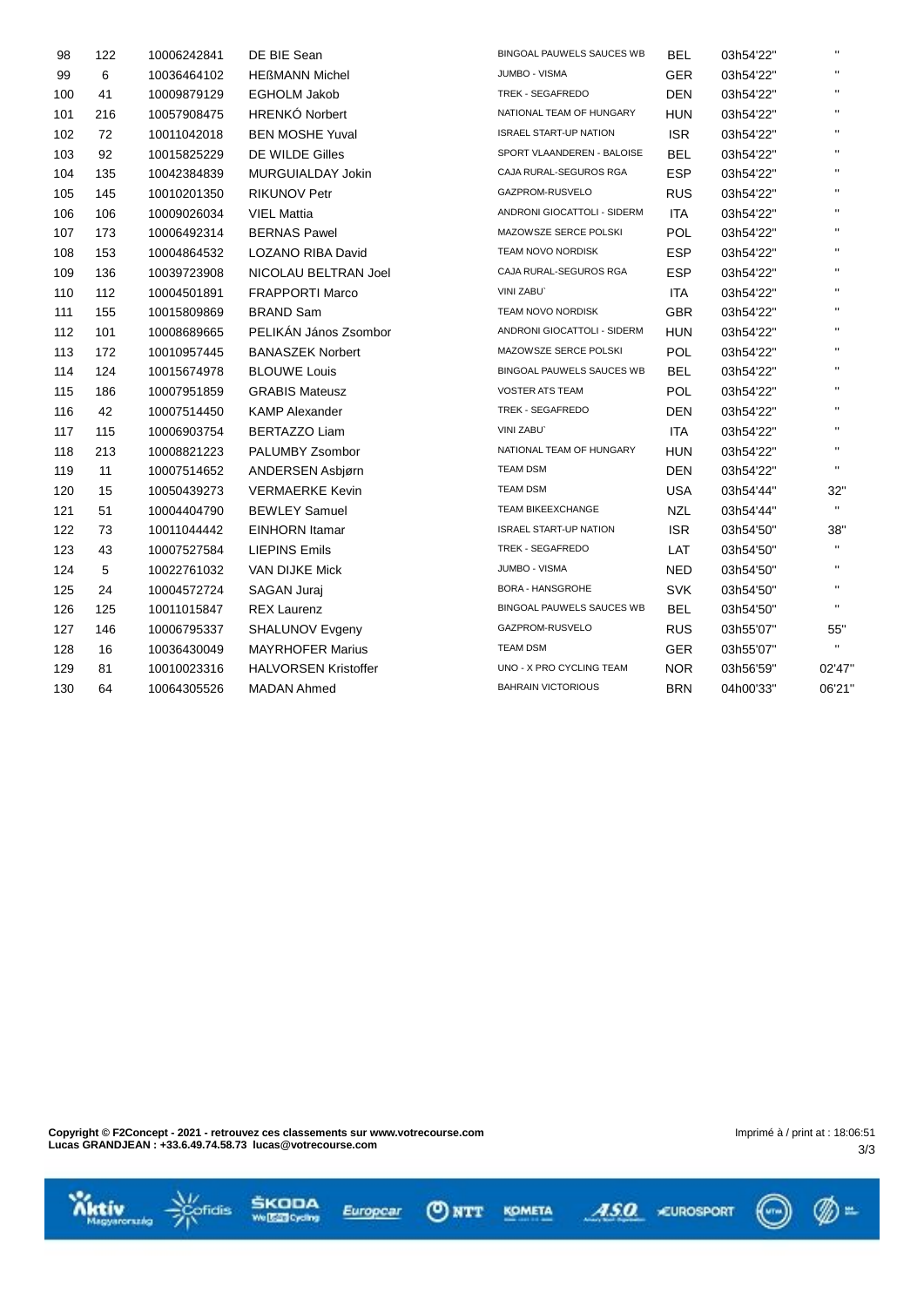| 98  | 122 | 10006242841 | DE BIE Sean                 | <b>BINGOAL PAUWELS SAUCES WB</b> | <b>BEL</b> | 03h54'22" | $\mathbf{H}$   |
|-----|-----|-------------|-----------------------------|----------------------------------|------------|-----------|----------------|
| 99  | 6   | 10036464102 | <b>HEßMANN Michel</b>       | <b>JUMBO - VISMA</b>             | <b>GER</b> | 03h54'22" | $\mathbf{H}$   |
| 100 | 41  | 10009879129 | <b>EGHOLM Jakob</b>         | TREK - SEGAFREDO                 | <b>DEN</b> | 03h54'22" | $\mathbf{H}$   |
| 101 | 216 | 10057908475 | <b>HRENKÓ Norbert</b>       | NATIONAL TEAM OF HUNGARY         | <b>HUN</b> | 03h54'22" | $\mathbf{H}$   |
| 102 | 72  | 10011042018 | <b>BEN MOSHE Yuval</b>      | <b>ISRAEL START-UP NATION</b>    | <b>ISR</b> | 03h54'22" | $\mathbf{H}$   |
| 103 | 92  | 10015825229 | DE WILDE Gilles             | SPORT VLAANDEREN - BALOISE       | <b>BEL</b> | 03h54'22" | $\mathbf{H}$   |
| 104 | 135 | 10042384839 | MURGUIALDAY Jokin           | CAJA RURAL-SEGUROS RGA           | <b>ESP</b> | 03h54'22" | $\mathbf{H}$   |
| 105 | 145 | 10010201350 | <b>RIKUNOV Petr</b>         | GAZPROM-RUSVELO                  | <b>RUS</b> | 03h54'22" | $\mathbf{H}$   |
| 106 | 106 | 10009026034 | <b>VIEL Mattia</b>          | ANDRONI GIOCATTOLI - SIDERM      | <b>ITA</b> | 03h54'22" | $\mathbf{H}$   |
| 107 | 173 | 10006492314 | <b>BERNAS Pawel</b>         | MAZOWSZE SERCE POLSKI            | <b>POL</b> | 03h54'22" | $\mathbf{H}$   |
| 108 | 153 | 10004864532 | LOZANO RIBA David           | TEAM NOVO NORDISK                | <b>ESP</b> | 03h54'22" | $\mathbf{H}$   |
| 109 | 136 | 10039723908 | NICOLAU BELTRAN Joel        | CAJA RURAL-SEGUROS RGA           | <b>ESP</b> | 03h54'22" | $\mathbf{H}$ . |
| 110 | 112 | 10004501891 | <b>FRAPPORTI Marco</b>      | VINI ZABU`                       | <b>ITA</b> | 03h54'22" | $\mathbf{H}$   |
| 111 | 155 | 10015809869 | <b>BRAND Sam</b>            | TEAM NOVO NORDISK                | <b>GBR</b> | 03h54'22" | $\mathbf{H}$   |
| 112 | 101 | 10008689665 | PELIKÁN János Zsombor       | ANDRONI GIOCATTOLI - SIDERM      | <b>HUN</b> | 03h54'22" | $\mathbf{H}$   |
| 113 | 172 | 10010957445 | <b>BANASZEK Norbert</b>     | MAZOWSZE SERCE POLSKI            | POL        | 03h54'22" | $\mathbf{H}$   |
| 114 | 124 | 10015674978 | <b>BLOUWE Louis</b>         | BINGOAL PAUWELS SAUCES WB        | <b>BEL</b> | 03h54'22" | $\mathbf{H}$   |
| 115 | 186 | 10007951859 | <b>GRABIS Mateusz</b>       | <b>VOSTER ATS TEAM</b>           | <b>POL</b> | 03h54'22" | $\mathbf{H}$ . |
| 116 | 42  | 10007514450 | <b>KAMP Alexander</b>       | TREK - SEGAFREDO                 | <b>DEN</b> | 03h54'22" | $\mathbf{H}$   |
| 117 | 115 | 10006903754 | <b>BERTAZZO Liam</b>        | VINI ZABU`                       | <b>ITA</b> | 03h54'22" | $\mathbf{H}$ . |
| 118 | 213 | 10008821223 | PALUMBY Zsombor             | NATIONAL TEAM OF HUNGARY         | <b>HUN</b> | 03h54'22" | $\mathbf{H}$ . |
| 119 | 11  | 10007514652 | ANDERSEN Asbjørn            | <b>TEAM DSM</b>                  | <b>DEN</b> | 03h54'22" | $\mathbf{H}$   |
| 120 | 15  | 10050439273 | <b>VERMAERKE Kevin</b>      | <b>TEAM DSM</b>                  | <b>USA</b> | 03h54'44" | 32"            |
| 121 | 51  | 10004404790 | <b>BEWLEY Samuel</b>        | <b>TEAM BIKEEXCHANGE</b>         | <b>NZL</b> | 03h54'44" | $\mathbf{H}$   |
| 122 | 73  | 10011044442 | <b>EINHORN Itamar</b>       | <b>ISRAEL START-UP NATION</b>    | <b>ISR</b> | 03h54'50" | 38"            |
| 123 | 43  | 10007527584 | <b>LIEPINS Emils</b>        | TREK - SEGAFREDO                 | LAT        | 03h54'50" | $\mathbf{H}$   |
| 124 | 5   | 10022761032 | VAN DIJKE Mick              | JUMBO - VISMA                    | <b>NED</b> | 03h54'50" | $\mathbf{H}$ . |
| 125 | 24  | 10004572724 | SAGAN Juraj                 | <b>BORA - HANSGROHE</b>          | <b>SVK</b> | 03h54'50" | $\mathbf{H}$ . |
| 126 | 125 | 10011015847 | <b>REX Laurenz</b>          | <b>BINGOAL PAUWELS SAUCES WB</b> | <b>BEL</b> | 03h54'50" | $\mathbf{H}$   |
| 127 | 146 | 10006795337 | SHALUNOV Evgeny             | GAZPROM-RUSVELO                  | <b>RUS</b> | 03h55'07" | 55"            |
| 128 | 16  | 10036430049 | <b>MAYRHOFER Marius</b>     | <b>TEAM DSM</b>                  | <b>GER</b> | 03h55'07" | $\mathbf{H}$ . |
| 129 | 81  | 10010023316 | <b>HALVORSEN Kristoffer</b> | UNO - X PRO CYCLING TEAM         | <b>NOR</b> | 03h56'59" | 02'47'         |
| 130 | 64  | 10064305526 | <b>MADAN Ahmed</b>          | <b>BAHRAIN VICTORIOUS</b>        | <b>BRN</b> | 04h00'33" | 06'21'         |
|     |     |             |                             |                                  |            |           |                |

**Copyright © F2Concept - 2021 - retrouvez ces classements sur www.votrecourse.com Lucas GRANDJEAN : +33.6.49.74.58.73 lucas@votrecourse.com**

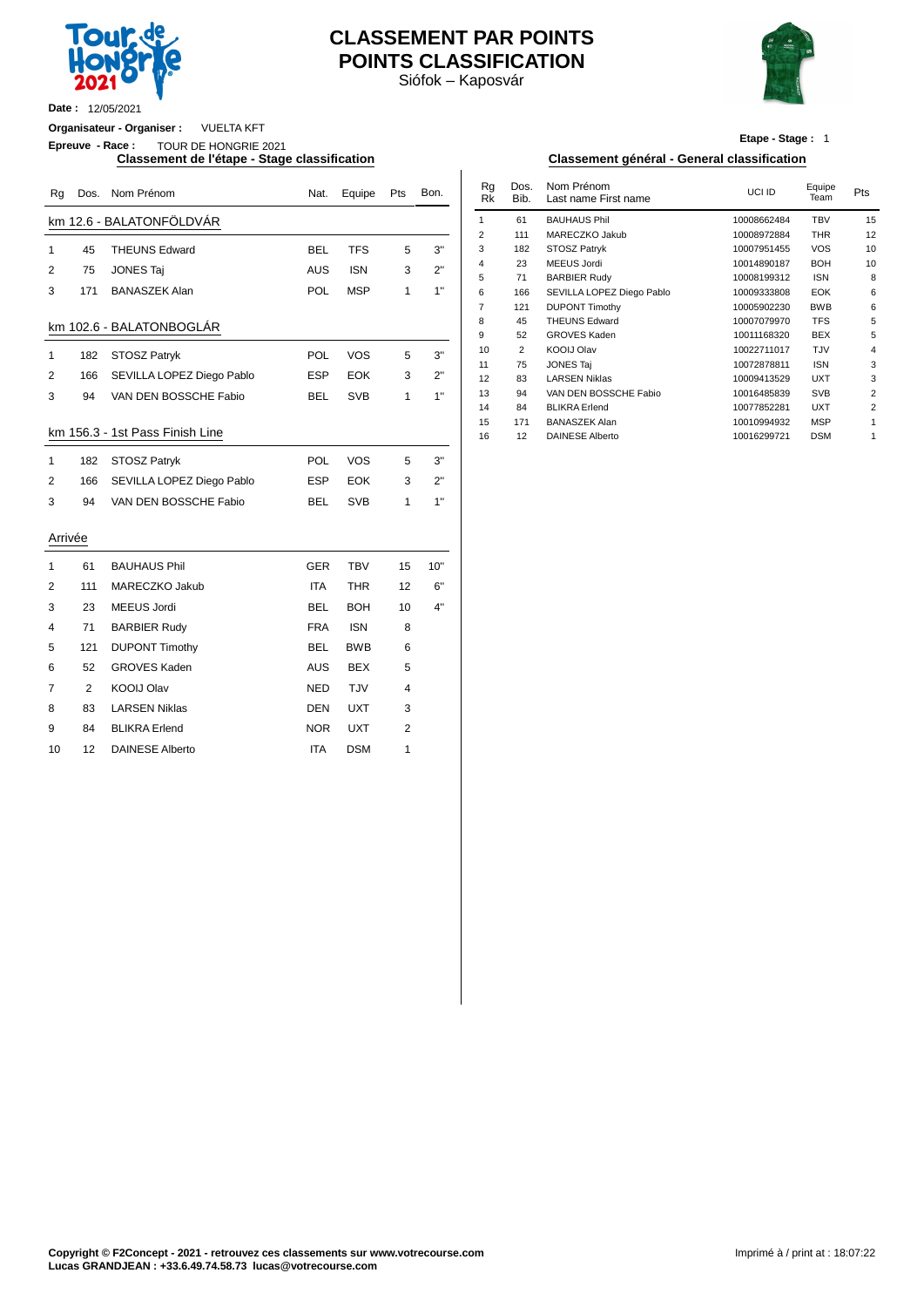

### **CLASSEMENT PAR POINTS POINTS CLASSIFICATION**

Siófok – Kaposvár



**Date :** 12/05/2021

**Organisateur - Organiser :** VUELTA KFT

**Epreuve - Race :** TOUR DE HONGRIE 2021

| Rg           | Dos. | Nom Prénom                      | Nat.       | Equipe     | Pts            | Bon. | Rg<br><b>Rk</b> | Dos.<br>Bib. | Nom Prénom<br>Last name First name | UCI ID                     | Equipe<br>Team           | Pts            |
|--------------|------|---------------------------------|------------|------------|----------------|------|-----------------|--------------|------------------------------------|----------------------------|--------------------------|----------------|
|              |      | km 12.6 - BALATONFÖLDVÁR        |            |            |                |      | $\mathbf{1}$    | 61           | <b>BAUHAUS Phil</b>                | 10008662484                | <b>TBV</b>               | 15             |
|              |      |                                 |            |            |                |      | $\overline{2}$  | 111          | MARECZKO Jakub                     | 10008972884                | <b>THR</b>               | 12             |
| $\mathbf{1}$ | 45   | <b>THEUNS Edward</b>            | <b>BEL</b> | <b>TFS</b> | 5              | 3"   | 3               | 182          | <b>STOSZ Patryk</b>                | 10007951455                | <b>VOS</b>               | 1 <sub>0</sub> |
| 2            | 75   | <b>JONES Taj</b>                | AUS        | <b>ISN</b> | 3              | 2"   | 4               | 23           | MEEUS Jordi                        | 10014890187                | <b>BOH</b>               | 1 <sub>0</sub> |
|              |      |                                 |            |            |                |      | 5               | 71           | <b>BARBIER Rudy</b>                | 10008199312                | <b>ISN</b>               |                |
| 3            | 171  | <b>BANASZEK Alan</b>            | POL        | <b>MSP</b> | 1              | 1"   | 6               | 166          | SEVILLA LOPEZ Diego Pablo          | 10009333808                | <b>EOK</b>               |                |
|              |      |                                 |            |            |                |      | $\overline{7}$  | 121          | <b>DUPONT Timothy</b>              | 10005902230                | <b>BWB</b>               |                |
|              |      | km 102.6 - BALATONBOGLÁR        |            |            |                |      | 8               | 45           | <b>THEUNS Edward</b>               | 10007079970                | <b>TFS</b>               |                |
|              |      |                                 |            |            |                |      | 9               | 52           | <b>GROVES Kaden</b>                | 10011168320                | <b>BEX</b>               |                |
| 1            | 182  | <b>STOSZ Patryk</b>             | POL        | <b>VOS</b> | 5              | 3"   | 10<br>11        | 2<br>75      | KOOIJ Olav<br><b>JONES Taj</b>     | 10022711017<br>10072878811 | <b>TJV</b><br><b>ISN</b> |                |
| 2            | 166  | SEVILLA LOPEZ Diego Pablo       | <b>ESP</b> | <b>EOK</b> | 3              | 2"   | 12              | 83           | <b>LARSEN Niklas</b>               | 10009413529                | <b>UXT</b>               |                |
|              |      |                                 |            |            |                |      | 13              | 94           | VAN DEN BOSSCHE Fabio              | 10016485839                | SVB                      |                |
| 3            | 94   | VAN DEN BOSSCHE Fabio           | <b>BEL</b> | <b>SVB</b> | $\mathbf{1}$   | 1"   | 14              | 84           | <b>BLIKRA</b> Erlend               | 10077852281                | <b>UXT</b>               |                |
|              |      |                                 |            |            |                |      | 15              | 171          | <b>BANASZEK Alan</b>               | 10010994932                | <b>MSP</b>               |                |
|              |      | km 156.3 - 1st Pass Finish Line |            |            |                |      | 16              | 12           | <b>DAINESE Alberto</b>             | 10016299721                | <b>DSM</b>               |                |
| 1            | 182  | STOSZ Patryk                    | POL        | <b>VOS</b> | 5              | 3"   |                 |              |                                    |                            |                          |                |
| 2            | 166  | SEVILLA LOPEZ Diego Pablo       | <b>ESP</b> | <b>EOK</b> | 3              | 2"   |                 |              |                                    |                            |                          |                |
| 3            | 94   | VAN DEN BOSSCHE Fabio           | <b>BEL</b> | <b>SVB</b> | 1              | 1"   |                 |              |                                    |                            |                          |                |
| Arrivée      |      |                                 |            |            |                |      |                 |              |                                    |                            |                          |                |
| 1            | 61   | <b>BAUHAUS Phil</b>             | <b>GER</b> | <b>TBV</b> | 15             | 10"  |                 |              |                                    |                            |                          |                |
| 2            | 111  | MARECZKO Jakub                  | <b>ITA</b> | <b>THR</b> | 12             | 6"   |                 |              |                                    |                            |                          |                |
| 3            | 23   | <b>MEEUS Jordi</b>              | <b>BEL</b> | <b>BOH</b> | 10             | 4"   |                 |              |                                    |                            |                          |                |
| 4            | 71   | <b>BARBIER Rudy</b>             | <b>FRA</b> | <b>ISN</b> | 8              |      |                 |              |                                    |                            |                          |                |
| 5            | 121  | <b>DUPONT Timothy</b>           | <b>BEL</b> | <b>BWB</b> | 6              |      |                 |              |                                    |                            |                          |                |
| 6            | 52   | <b>GROVES Kaden</b>             | AUS        | <b>BEX</b> | 5              |      |                 |              |                                    |                            |                          |                |
| 7            | 2    | KOOIJ Olav                      | <b>NED</b> | <b>TJV</b> | 4              |      |                 |              |                                    |                            |                          |                |
| 8            | 83   | <b>LARSEN Niklas</b>            | <b>DEN</b> | <b>UXT</b> | 3              |      |                 |              |                                    |                            |                          |                |
| 9            | 84   | <b>BLIKRA</b> Erlend            | <b>NOR</b> | <b>UXT</b> | $\overline{2}$ |      |                 |              |                                    |                            |                          |                |
| 10           | 12   | <b>DAINESE Alberto</b>          | <b>ITA</b> | <b>DSM</b> | 1              |      |                 |              |                                    |                            |                          |                |

**Etape - Stage :** 1

#### **Classement de l'étape - Stage classification Classement général - General classification**

| Nat. | Equipe     | Pts | Bon. | Rq<br><b>Rk</b> | Dos.<br>Bib.   | Nom Prénom<br>Last name First name | UCI ID      | Equipe<br>Team | Pts            |
|------|------------|-----|------|-----------------|----------------|------------------------------------|-------------|----------------|----------------|
|      |            |     |      |                 | 61             | <b>BAUHAUS Phil</b>                | 10008662484 | <b>TBV</b>     | 15             |
|      |            |     |      | $\overline{2}$  | 111            | MARECZKO Jakub                     | 10008972884 | <b>THR</b>     | 12             |
| BEL  | <b>TFS</b> | 5   | 3"   | 3               | 182            | STOSZ Patryk                       | 10007951455 | <b>VOS</b>     | 10             |
|      |            | 3   | 2"   | $\overline{4}$  | 23             | <b>MEEUS Jordi</b>                 | 10014890187 | <b>BOH</b>     | 10             |
| AUS  | <b>ISN</b> |     |      | 5               | 71             | <b>BARBIER Rudy</b>                | 10008199312 | <b>ISN</b>     | 8              |
| POL  | <b>MSP</b> | 1   | 1"   | 6               | 166            | SEVILLA LOPEZ Diego Pablo          | 10009333808 | <b>EOK</b>     | 6              |
|      |            |     |      | 7               | 121            | <b>DUPONT Timothy</b>              | 10005902230 | <b>BWB</b>     | 6              |
|      |            |     |      | 8               | 45             | <b>THEUNS Edward</b>               | 10007079970 | <b>TFS</b>     | 5              |
|      |            |     |      | 9               | 52             | <b>GROVES Kaden</b>                | 10011168320 | <b>BEX</b>     | 5              |
| POL  | <b>VOS</b> | 5   | 3"   | 10              | $\overline{2}$ | <b>KOOIJ Olav</b>                  | 10022711017 | TJV            | $\overline{4}$ |
|      |            |     |      | 11              | 75             | <b>JONES Taj</b>                   | 10072878811 | <b>ISN</b>     | 3              |
| ESP  | <b>EOK</b> | 3   | 2"   | 12              | 83             | <b>LARSEN Niklas</b>               | 10009413529 | <b>UXT</b>     | 3              |
| BEL  | <b>SVB</b> | 1   | 1"   | 13              | 94             | VAN DEN BOSSCHE Fabio              | 10016485839 | <b>SVB</b>     | 2              |
|      |            |     |      | 14              | 84             | <b>BLIKRA Erlend</b>               | 10077852281 | <b>UXT</b>     | $\overline{2}$ |
|      |            |     |      | 15              | 171            | <b>BANASZEK Alan</b>               | 10010994932 | <b>MSP</b>     | 1              |
|      |            |     |      | 16              | 12             | <b>DAINESE Alberto</b>             | 10016299721 | <b>DSM</b>     | 1              |
|      |            |     |      |                 |                |                                    |             |                |                |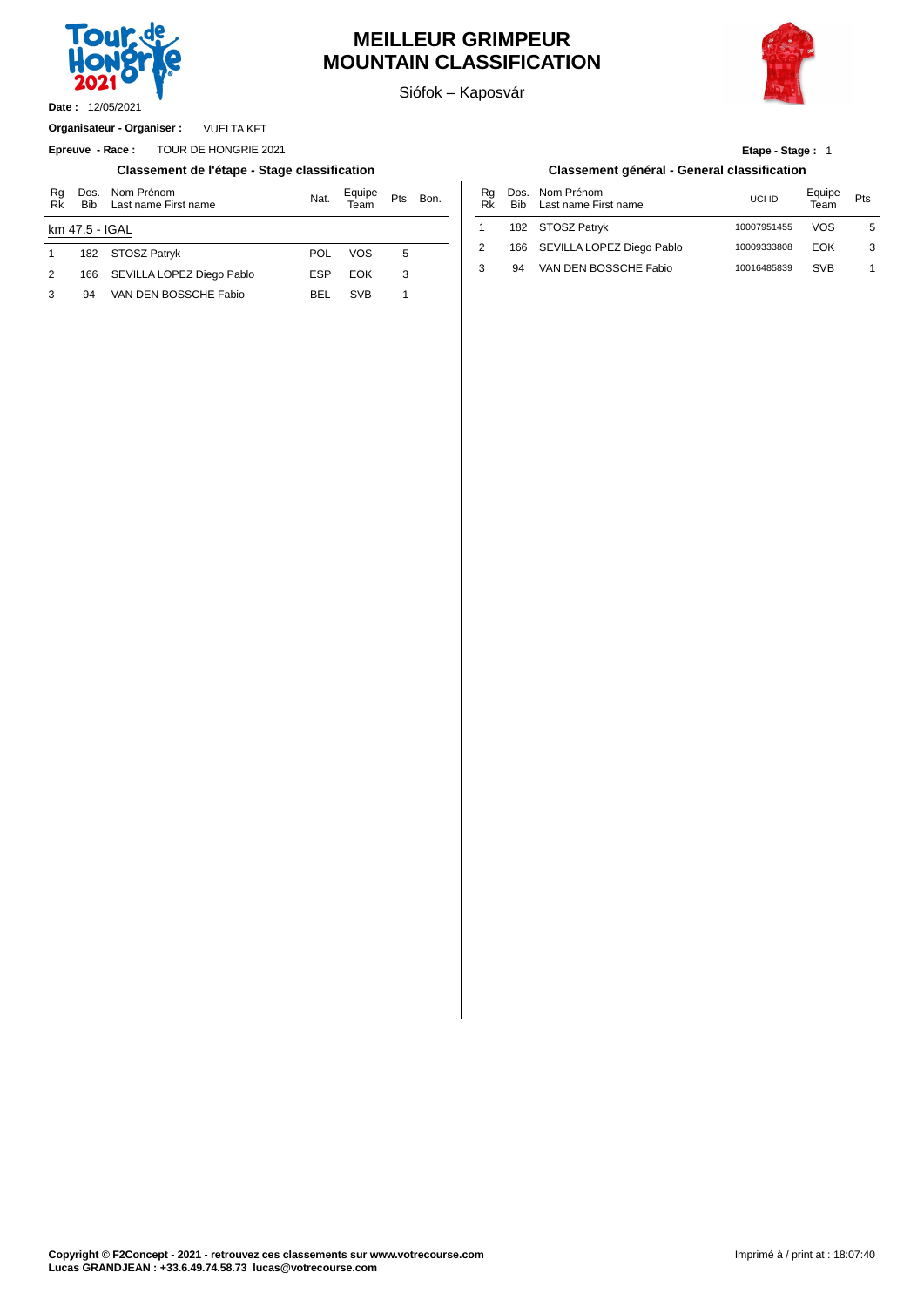

12/05/2021 **Date :**

### **MEILLEUR GRIMPEUR MOUNTAIN CLASSIFICATION**

Siófok – Kaposvár

VUELTA KFT **Organisateur - Organiser :**

**Epreuve - Race :** TOUR DE HONGRIE 2021

#### **Classement de l'étape - Stage classification Classement général - General classification**

| Rg<br>Rk | <b>Bib</b>     | Dos. Nom Prénom<br>Last name First name | Nat.       | Equipe<br>Team | Pts | Bon. | Rg<br>Rk       | Dos<br><b>Bib</b> |
|----------|----------------|-----------------------------------------|------------|----------------|-----|------|----------------|-------------------|
|          | km 47.5 - IGAL |                                         |            |                |     |      |                | 182               |
|          | 182            | <b>STOSZ Patryk</b>                     | POL        | <b>VOS</b>     | 5   |      | $\overline{2}$ | 166               |
| 2        | 166            | SEVILLA LOPEZ Diego Pablo               | <b>ESP</b> | EOK            | 3   |      | 3              | 94                |
| 3        | 94             | VAN DEN BOSSCHE Fabio                   | BEL        | <b>SVB</b>     |     |      |                |                   |

### **Etape - Stage :** 1

| Bon. | Ra<br>Rk | Bib | --<br>Dos. Nom Prénom<br>Last name First name | UCI ID      | Equipe<br>Team | Pts |
|------|----------|-----|-----------------------------------------------|-------------|----------------|-----|
|      |          |     | 182 STOSZ Patryk                              | 10007951455 | VOS            |     |

| Rq<br>Rk |    | Dos. Nom Prénom<br>Bib Last name First name | UCI ID      | Equipe<br>Team | Pts |
|----------|----|---------------------------------------------|-------------|----------------|-----|
|          |    | 182 STOSZ Patryk                            | 10007951455 | VOS            | 5   |
|          |    | 166 SEVILLA LOPEZ Diego Pablo               | 10009333808 | <b>FOK</b>     | 3   |
|          | 94 | VAN DEN BOSSCHE Fabio                       | 10016485839 | <b>SVB</b>     |     |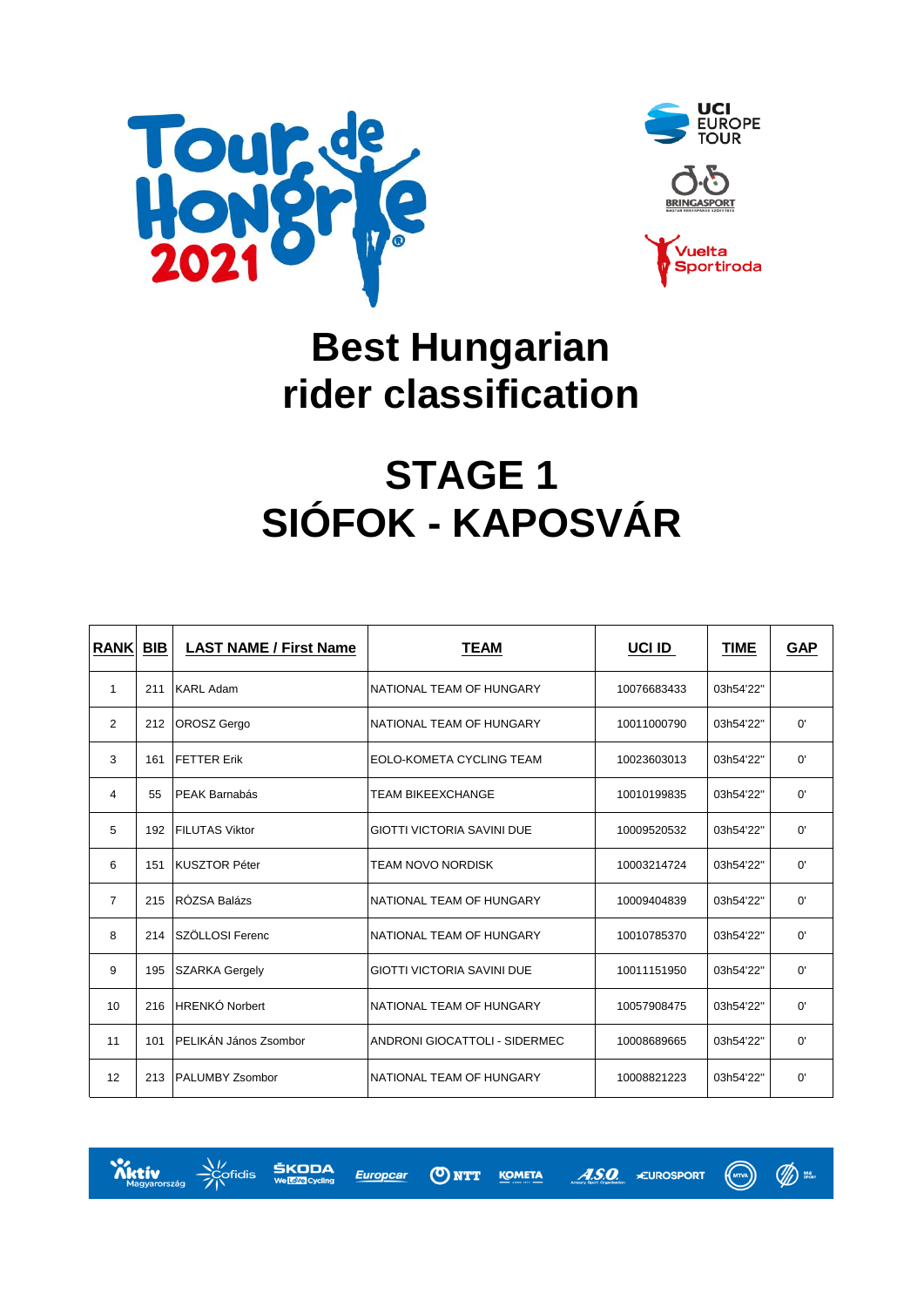



# **Best Hungarian rider classification**

# **STAGE 1 SIÓFOK - KAPOSVÁR**

| <b>RANK</b>    | BIB | <b>LAST NAME / First Name</b> | <b>TEAM</b>                       | UCI ID      | <b>TIME</b> | <b>GAP</b> |
|----------------|-----|-------------------------------|-----------------------------------|-------------|-------------|------------|
| $\mathbf{1}$   | 211 | <b>KARL Adam</b>              | NATIONAL TEAM OF HUNGARY          | 10076683433 | 03h54'22"   |            |
| 2              | 212 | <b>OROSZ</b> Gergo            | NATIONAL TEAM OF HUNGARY          | 10011000790 | 03h54'22"   | 0'         |
| 3              | 161 | <b>FETTER Erik</b>            | EOLO-KOMETA CYCLING TEAM          | 10023603013 | 03h54'22"   | 0'         |
| 4              | 55  | <b>PEAK Barnabás</b>          | <b>TEAM BIKEEXCHANGE</b>          | 10010199835 | 03h54'22"   | 0'         |
| 5              | 192 | <b>FILUTAS Viktor</b>         | <b>GIOTTI VICTORIA SAVINI DUE</b> | 10009520532 | 03h54'22"   | 0'         |
| 6              | 151 | <b>KUSZTOR Péter</b>          | <b>TEAM NOVO NORDISK</b>          | 10003214724 | 03h54'22"   | 0'         |
| $\overline{7}$ | 215 | RÓZSA Balázs                  | NATIONAL TEAM OF HUNGARY          | 10009404839 | 03h54'22"   | 0'         |
| 8              | 214 | SZÖLLOSI Ferenc               | NATIONAL TEAM OF HUNGARY          | 10010785370 | 03h54'22"   | 0'         |
| 9              | 195 | <b>SZARKA Gergely</b>         | <b>GIOTTI VICTORIA SAVINI DUE</b> | 10011151950 | 03h54'22"   | 0'         |
| 10             | 216 | HRENKÓ Norbert                | NATIONAL TEAM OF HUNGARY          | 10057908475 | 03h54'22"   | 0'         |
| 11             | 101 | PELIKÁN János Zsombor         | ANDRONI GIOCATTOLI - SIDERMEC     | 10008689665 | 03h54'22"   | 0'         |
| 12             | 213 | <b>PALUMBY Zsombor</b>        | NATIONAL TEAM OF HUNGARY          | 10008821223 | 03h54'22"   | 0'         |



A.S.O. **EUROSPORT** 

 $\circled{m}$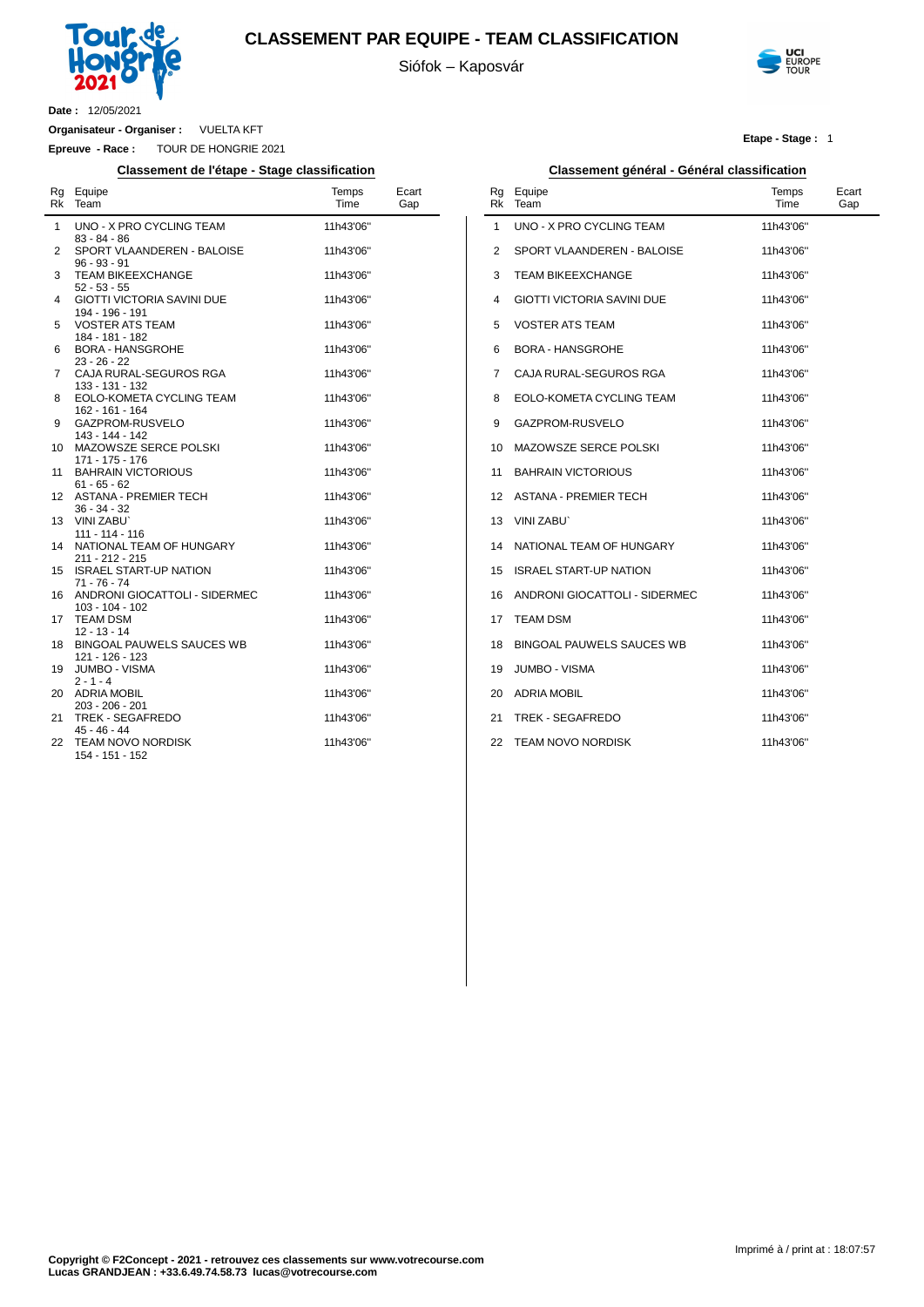

### **CLASSEMENT PAR EQUIPE - TEAM CLASSIFICATION**

Siófok – Kaposvár

 $\overline{a}$ 



**Etape - Stage :** 1

**Date :** 12/05/2021

**Organisateur - Organiser :** VUELTA KFT

**Epreuve - Race :** TOUR DE HONGRIE 2021

#### **Classement de l'étape - Stage classification Classement général - Général classification**

| Rg | Equipe<br>Rk Team                                    | Temps<br>Time | Ecart<br>Gap |
|----|------------------------------------------------------|---------------|--------------|
| 1  | UNO - X PRO CYCLING TEAM<br>$83 - 84 - 86$           | 11h43'06"     |              |
| 2  | SPORT VLAANDEREN - BALOISE<br>$96 - 93 - 91$         | 11h43'06"     |              |
| 3  | <b>TEAM BIKEEXCHANGE</b><br>$52 - 53 - 55$           | 11h43'06"     |              |
| 4  | <b>GIOTTI VICTORIA SAVINI DUE</b><br>194 - 196 - 191 | 11h43'06"     |              |
| 5  | <b>VOSTER ATS TEAM</b><br>184 - 181 - 182            | 11h43'06"     |              |
| 6  | <b>BORA - HANSGROHE</b><br>$23 - 26 - 22$            | 11h43'06"     |              |
| 7  | CAJA RURAL-SEGUROS RGA<br>133 - 131 - 132            | 11h43'06"     |              |
| 8  | EOLO-KOMETA CYCLING TEAM<br>162 - 161 - 164          | 11h43'06"     |              |
| 9  | GAZPROM-RUSVELO<br>143 - 144 - 142                   | 11h43'06"     |              |
| 10 | MAZOWSZE SERCE POLSKI<br>171 - 175 - 176             | 11h43'06"     |              |
| 11 | <b>BAHRAIN VICTORIOUS</b><br>$61 - 65 - 62$          | 11h43'06"     |              |
| 12 | ASTANA - PREMIER TECH<br>$36 - 34 - 32$              | 11h43'06"     |              |
| 13 | <b>VINI ZABU</b><br>$111 - 114 - 116$                | 11h43'06"     |              |
| 14 | NATIONAL TEAM OF HUNGARY<br>211 - 212 - 215          | 11h43'06"     |              |
|    | 15 ISRAEL START-UP NATION<br>$71 - 76 - 74$          | 11h43'06"     |              |
| 16 | ANDRONI GIOCATTOLI - SIDERMEC<br>103 - 104 - 102     | 11h43'06"     |              |
| 17 | <b>TEAM DSM</b><br>$12 - 13 - 14$                    | 11h43'06"     |              |
| 18 | BINGOAL PAUWELS SAUCES WB<br>121 - 126 - 123         | 11h43'06"     |              |
| 19 | <b>JUMBO - VISMA</b><br>$2 - 1 - 4$                  | 11h43'06"     |              |
|    | 20 ADRIA MOBIL<br>203 - 206 - 201                    | 11h43'06"     |              |
| 21 | TREK - SEGAFREDO<br>45 - 46 - 44                     | 11h43'06"     |              |
| 22 | <b>TEAM NOVO NORDISK</b><br>154 - 151 - 152          | 11h43'06"     |              |

| Rg<br>Rk | Equipe<br>Team                   | Temps<br>Time | Ecart<br>Gap |
|----------|----------------------------------|---------------|--------------|
| 1        | UNO - X PRO CYCLING TEAM         | 11h43'06"     |              |
| 2        | SPORT VLAANDEREN - BALOISE       | 11h43'06"     |              |
| 3        | TEAM BIKEEXCHANGE                | 11h43'06"     |              |
| 4        | GIOTTI VICTORIA SAVINI DUE       | 11h43'06"     |              |
| 5        | VOSTER ATS TEAM                  | 11h43'06"     |              |
| 6        | <b>BORA - HANSGROHE</b>          | 11h43'06"     |              |
| 7        | CAJA RURAL-SEGUROS RGA           | 11h43'06"     |              |
| 8        | EOLO-KOMETA CYCLING TEAM         | 11h43'06"     |              |
| 9        | GAZPROM-RUSVELO                  | 11h43'06"     |              |
| 10       | MAZOWSZE SERCE POLSKI            | 11h43'06"     |              |
| 11       | <b>BAHRAIN VICTORIOUS</b>        | 11h43'06"     |              |
| 12       | <b>ASTANA - PREMIER TECH</b>     | 11h43'06"     |              |
| 13       | <b>VINI ZABU</b>                 | 11h43'06"     |              |
| 14       | NATIONAL TEAM OF HUNGARY         | 11h43'06"     |              |
| 15       | <b>ISRAEL START-UP NATION</b>    | 11h43'06"     |              |
| 16       | ANDRONI GIOCATTOLI - SIDERMEC    | 11h43'06"     |              |
| 17       | <b>TEAM DSM</b>                  | 11h43'06"     |              |
| 18       | <b>BINGOAL PAUWELS SAUCES WB</b> | 11h43'06"     |              |
| 19       | <b>JUMBO - VISMA</b>             | 11h43'06"     |              |
| 20       | <b>ADRIA MOBIL</b>               | 11h43'06"     |              |
| 21       | TREK - SEGAFREDO                 | 11h43'06"     |              |
| 22       | <b>TEAM NOVO NORDISK</b>         | 11h43'06"     |              |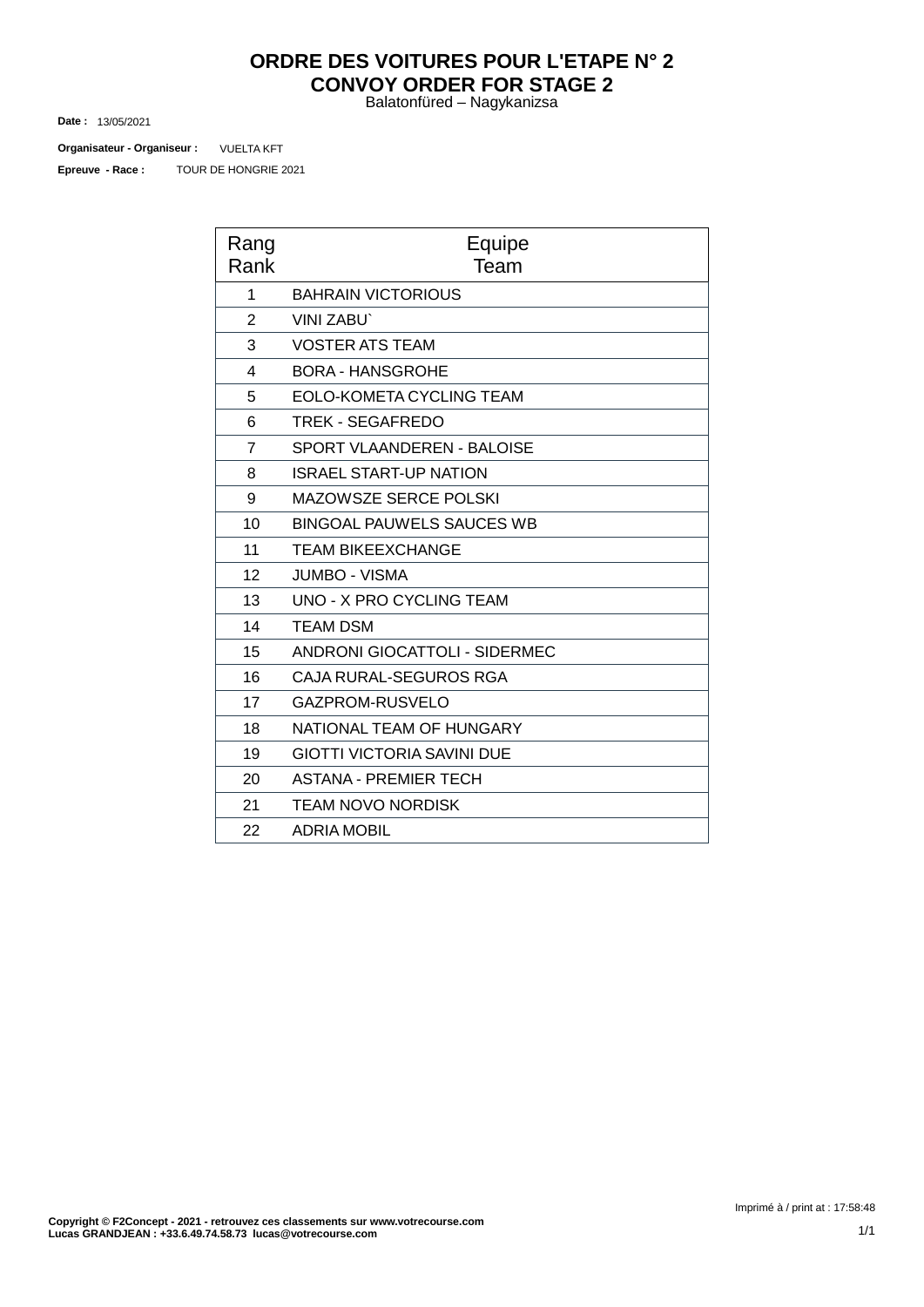## **ORDRE DES VOITURES POUR L'ETAPE N° 2 CONVOY ORDER FOR STAGE 2**

Balatonfüred – Nagykanizsa

13/05/2021 **Date :**

TOUR DE HONGRIE 2021 VUELTA KFT **Organisateur - Organiseur : Epreuve - Race :**

| Rang<br>Rank   | Equipe<br>Team                       |
|----------------|--------------------------------------|
| 1              | <b>BAHRAIN VICTORIOUS</b>            |
| $\overline{2}$ | <b>VINI ZABU`</b>                    |
| 3              | <b>VOSTER ATS TEAM</b>               |
| 4              | <b>BORA - HANSGROHE</b>              |
| 5              | EOLO-KOMETA CYCLING TEAM             |
| 6              | <b>TREK - SEGAFREDO</b>              |
| $\overline{7}$ | SPORT VLAANDEREN - BALOISE           |
| 8              | <b>ISRAEL START-UP NATION</b>        |
| 9              | <b>MAZOWSZE SERCE POLSKI</b>         |
| 10             | <b>BINGOAL PAUWELS SAUCES WB</b>     |
| 11             | <b>TEAM BIKEEXCHANGE</b>             |
| 12             | <b>JUMBO - VISMA</b>                 |
| 13             | <b>UNO - X PRO CYCLING TEAM</b>      |
| 14             | <b>TEAM DSM</b>                      |
| 15             | <b>ANDRONI GIOCATTOLI - SIDERMEC</b> |
| 16             | CAJA RURAL-SEGUROS RGA               |
| 17             | GAZPROM-RUSVELO                      |
| 18             | NATIONAL TEAM OF HUNGARY             |
| 19             | <b>GIOTTI VICTORIA SAVINI DUE</b>    |
| 20             | <b>ASTANA - PREMIER TECH</b>         |
| 21             | <b>TEAM NOVO NORDISK</b>             |
| 22             | <b>ADRIA MOBIL</b>                   |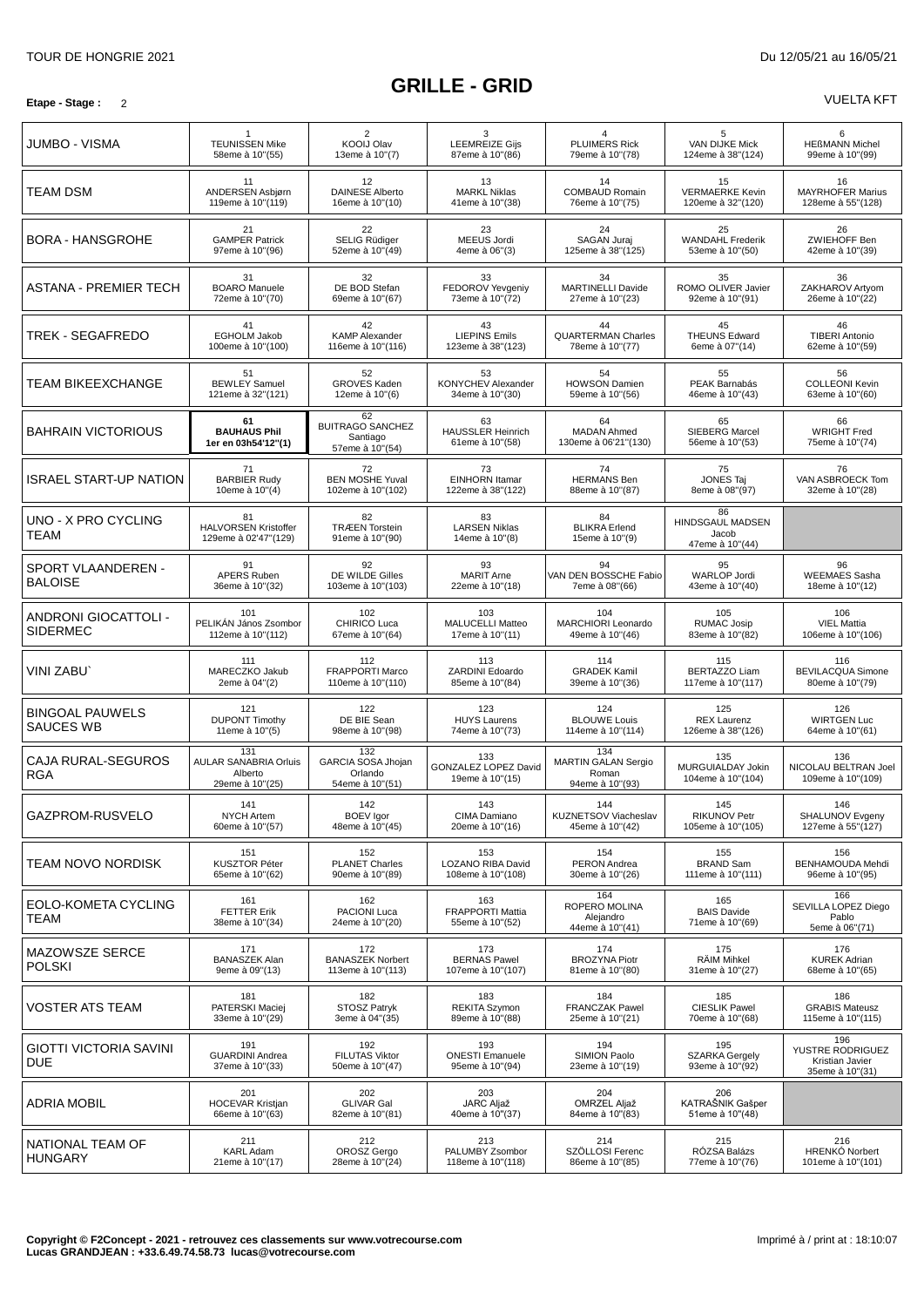### **Etape -** Stage: 2 VUELTA KFT

| JUMBO - VISMA                               | 1<br><b>TEUNISSEN Mike</b><br>58eme à 10"(55)                     | $\overline{2}$<br>KOOIJ Olav<br>13eme à 10"(7)               | 3<br><b>LEEMREIZE Gijs</b><br>87eme à 10"(86)     | $\overline{4}$<br><b>PLUIMERS Rick</b><br>79eme à 10"(78)     | 5<br>VAN DIJKE Mick<br>124eme à 38"(124)                  | 6<br><b>HEßMANN Michel</b><br>99eme à 10"(99)                 |
|---------------------------------------------|-------------------------------------------------------------------|--------------------------------------------------------------|---------------------------------------------------|---------------------------------------------------------------|-----------------------------------------------------------|---------------------------------------------------------------|
| TEAM DSM                                    | 11<br><b>ANDERSEN Asbiørn</b><br>119eme à 10"(119)                | 12<br><b>DAINESE Alberto</b><br>16eme à 10"(10)              | 13<br><b>MARKL Niklas</b><br>41eme à 10"(38)      | 14<br><b>COMBAUD Romain</b><br>76eme à 10"(75)                | 15<br><b>VERMAERKE Kevin</b><br>120eme à 32"(120)         | 16<br><b>MAYRHOFER Marius</b><br>128eme à 55"(128)            |
| <b>BORA - HANSGROHE</b>                     | 21<br><b>GAMPER Patrick</b><br>97eme à 10"(96)                    | 22<br>SELIG Rüdiger<br>52eme à 10"(49)                       | 23<br>MEEUS Jordi<br>4eme à 06"(3)                | 24<br>SAGAN Juraj<br>125eme à 38"(125)                        | 25<br><b>WANDAHL Frederik</b><br>53eme à 10"(50)          | 26<br><b>ZWIEHOFF Ben</b><br>42eme à 10"(39)                  |
| ASTANA - PREMIER TECH                       | 31<br><b>BOARO Manuele</b><br>72eme à 10"(70)                     | 32<br>DE BOD Stefan<br>69eme à 10"(67)                       | 33<br>FEDOROV Yevgeniy<br>73eme à 10"(72)         | 34<br>MARTINELLI Davide<br>27eme à 10"(23)                    | 35<br>ROMO OLIVER Javier<br>92eme à 10"(91)               | 36<br>ZAKHAROV Artyom<br>26eme à 10"(22)                      |
| TREK - SEGAFREDO                            | 41<br><b>EGHOLM Jakob</b><br>100eme à 10"(100)                    | 42<br><b>KAMP Alexander</b><br>116eme à 10"(116)             | 43<br><b>LIEPINS Emils</b><br>123eme à 38"(123)   | 44<br><b>QUARTERMAN Charles</b><br>78eme à 10"(77)            | 45<br><b>THEUNS Edward</b><br>6eme à 07"(14)              | 46<br><b>TIBERI Antonio</b><br>62eme à 10"(59)                |
| TEAM BIKEEXCHANGE                           | 51<br><b>BEWLEY Samuel</b><br>121eme à 32"(121)                   | 52<br>GROVES Kaden<br>12eme à 10"(6)                         | 53<br>KONYCHEV Alexander<br>34eme à 10"(30)       | 54<br><b>HOWSON Damien</b><br>59eme à 10"(56)                 | 55<br>PEAK Barnabás<br>46eme à 10"(43)                    | 56<br><b>COLLEONI Kevin</b><br>63eme à 10"(60)                |
| <b>BAHRAIN VICTORIOUS</b>                   | 61<br><b>BAUHAUS Phil</b><br>1er en 03h54'12"(1)                  | 62<br><b>BUITRAGO SANCHEZ</b><br>Santiago<br>57eme à 10"(54) | 63<br><b>HAUSSLER Heinrich</b><br>61eme à 10"(58) | 64<br><b>MADAN Ahmed</b><br>130eme à 06'21"(130)              | 65<br>SIEBERG Marcel<br>56eme à 10"(53)                   | 66<br><b>WRIGHT Fred</b><br>75eme à 10"(74)                   |
| <b>ISRAEL START-UP NATION</b>               | 71<br><b>BARBIER Rudv</b><br>10eme à 10"(4)                       | 72<br><b>BEN MOSHE Yuval</b><br>102eme à 10"(102)            | 73<br><b>EINHORN Itamar</b><br>122eme à 38"(122)  | 74<br><b>HERMANS Ben</b><br>88eme à 10"(87)                   | 75<br><b>JONES Taj</b><br>8eme à 08"(97)                  | 76<br>VAN ASBROECK Tom<br>32eme à 10"(28)                     |
| UNO - X PRO CYCLING<br><b>TEAM</b>          | 81<br><b>HALVORSEN Kristoffer</b><br>129eme à 02'47"(129)         | 82<br><b>TRÆEN Torstein</b><br>91eme à 10"(90)               | 83<br><b>LARSEN Niklas</b><br>14eme à 10"(8)      | 84<br><b>BLIKRA</b> Erlend<br>15eme à 10"(9)                  | 86<br><b>HINDSGAUL MADSEN</b><br>Jacob<br>47eme à 10"(44) |                                                               |
| SPORT VLAANDEREN -<br><b>BALOISE</b>        | 91<br><b>APERS Ruben</b><br>36eme à 10"(32)                       | 92<br>DE WILDE Gilles<br>103eme à 10"(103)                   | 93<br><b>MARIT Arne</b><br>22eme à 10"(18)        | 94<br>VAN DEN BOSSCHE Fabio<br>7eme à 08"(66)                 | 95<br><b>WARLOP Jordi</b><br>43eme à 10"(40)              | 96<br><b>WEEMAES Sasha</b><br>18eme à 10"(12)                 |
| ANDRONI GIOCATTOLI -<br><b>SIDERMEC</b>     | 101<br>PELIKÁN János Zsombor<br>112eme à 10"(112)                 | 102<br>CHIRICO Luca<br>67eme à 10"(64)                       | 103<br>MALUCELLI Matteo<br>17eme à 10"(11)        | 104<br>MARCHIORI Leonardo<br>49eme à 10"(46)                  | 105<br><b>RUMAC Josip</b><br>83eme à 10"(82)              | 106<br><b>VIEL Mattia</b><br>106eme à 10"(106)                |
| <b>VINI ZABU</b>                            | 111<br>MARECZKO Jakub<br>2eme à 04"(2)                            | 112<br><b>FRAPPORTI Marco</b><br>110eme à 10"(110)           | 113<br>ZARDINI Edoardo<br>85eme à 10"(84)         | 114<br><b>GRADEK Kamil</b><br>39eme à 10"(36)                 | 115<br><b>BERTAZZO Liam</b><br>117eme à 10"(117)          | 116<br><b>BEVILACQUA Simone</b><br>80eme à 10"(79)            |
| <b>BINGOAL PAUWELS</b><br>SAUCES WB         | 121<br><b>DUPONT Timothv</b><br>11eme à 10"(5)                    | 122<br>DE BIE Sean<br>98eme à 10"(98)                        | 123<br><b>HUYS Laurens</b><br>74eme à 10"(73)     | 124<br><b>BLOUWE Louis</b><br>114eme à 10"(114)               | 125<br><b>REX Laurenz</b><br>126eme à 38"(126)            | 126<br><b>WIRTGEN Luc</b><br>64eme à 10"(61)                  |
| CAJA RURAL-SEGUROS<br><b>RGA</b>            | 131<br><b>AULAR SANABRIA Orluis</b><br>Alberto<br>29eme à 10"(25) | 132<br>GARCIA SOSA Jhojan<br>Orlando<br>54eme à 10"(51)      | 133<br>GONZALEZ LOPEZ David<br>19eme à 10"(15)    | 134<br><b>MARTIN GALAN Sergio</b><br>Roman<br>94eme à 10"(93) | 135<br>MURGUIALDAY Jokin<br>104eme à 10"(104)             | 136<br>NICOLAU BELTRAN Joel<br>109eme à 10"(109)              |
| GAZPROM-RUSVELO                             | 141<br><b>NYCH Artem</b><br>60eme à 10"(57)                       | 142<br><b>BOEV</b> Igor<br>48eme à 10"(45)                   | 143<br>CIMA Damiano<br>20eme à 10"(16)            | 144<br>KUZNETSOV Viacheslav<br>45eme à 10"(42)                | 145<br><b>RIKUNOV Petr</b><br>105eme à 10"(105)           | 146<br>SHALUNOV Evgeny<br>127eme à 55"(127)                   |
| TEAM NOVO NORDISK                           | 151<br><b>KUSZTOR Péter</b><br>65eme à 10"(62)                    | 152<br><b>PLANET Charles</b><br>90eme à 10"(89)              | 153<br>LOZANO RIBA David<br>108eme à 10"(108)     | 154<br>PERON Andrea<br>30eme à 10"(26)                        | 155<br><b>BRAND Sam</b><br>111eme à 10"(111)              | 156<br>BENHAMOUDA Mehdi<br>96eme à 10"(95)                    |
| EOLO-KOMETA CYCLING<br>TEAM                 | 161<br><b>FETTER Erik</b><br>38eme à 10"(34)                      | 162<br>PACIONI Luca<br>24eme à 10"(20)                       | 163<br><b>FRAPPORTI Mattia</b><br>55eme à 10"(52) | 164<br>ROPERO MOLINA<br>Alejandro<br>44eme à 10"(41)          | 165<br><b>BAIS Davide</b><br>71eme à 10"(69)              | 166<br>SEVILLA LOPEZ Diego<br>Pablo<br>5eme à 06"(71)         |
| <b>MAZOWSZE SERCE</b><br><b>POLSKI</b>      | 171<br><b>BANASZEK Alan</b><br>9eme à 09"(13)                     | 172<br><b>BANASZEK Norbert</b><br>113eme à 10"(113)          | 173<br><b>BERNAS Pawel</b><br>107eme à 10"(107)   | 174<br><b>BROZYNA Piotr</b><br>81eme à 10"(80)                | 175<br>RÄIM Mihkel<br>31eme à 10"(27)                     | 176<br><b>KUREK Adrian</b><br>68eme à 10"(65)                 |
| VOSTER ATS TEAM                             | 181<br>PATERSKI Maciej<br>33eme à 10"(29)                         | 182<br>STOSZ Patryk<br>3eme à 04"(35)                        | 183<br><b>REKITA Szymon</b><br>89eme à 10"(88)    | 184<br>FRANCZAK Pawel<br>25eme à 10"(21)                      | 185<br><b>CIESLIK Pawel</b><br>70eme à 10"(68)            | 186<br><b>GRABIS Mateusz</b><br>115eme à 10"(115)             |
| <b>GIOTTI VICTORIA SAVINI</b><br><b>DUE</b> | 191<br><b>GUARDINI Andrea</b><br>37eme à 10"(33)                  | 192<br><b>FILUTAS Viktor</b><br>50eme à 10"(47)              | 193<br><b>ONESTI Emanuele</b><br>95eme à 10"(94)  | 194<br>SIMION Paolo<br>23eme à 10"(19)                        | 195<br><b>SZARKA Gergely</b><br>93eme à 10"(92)           | 196<br>YUSTRE RODRIGUEZ<br>Kristian Javier<br>35eme à 10"(31) |
| <b>ADRIA MOBIL</b>                          | 201<br><b>HOCEVAR Kristjan</b><br>66eme à 10"(63)                 | 202<br><b>GLIVAR Gal</b><br>82eme à 10"(81)                  | 203<br>JARC Aljaž<br>40eme à 10"(37)              | 204<br>OMRZEL Aljaž<br>84eme à 10"(83)                        | 206<br>KATRAŠNIK Gašper<br>51eme à 10"(48)                |                                                               |
| NATIONAL TEAM OF<br><b>HUNGARY</b>          | 211<br><b>KARL</b> Adam<br>21eme à 10"(17)                        | 212<br>OROSZ Gergo<br>28eme à 10"(24)                        | 213<br>PALUMBY Zsombor<br>118eme à 10"(118)       | 214<br>SZÖLLOSI Ferenc<br>86eme à 10"(85)                     | 215<br>RÓZSA Balázs<br>77eme à 10"(76)                    | 216<br><b>HRENKÓ Norbert</b><br>101eme à 10"(101)             |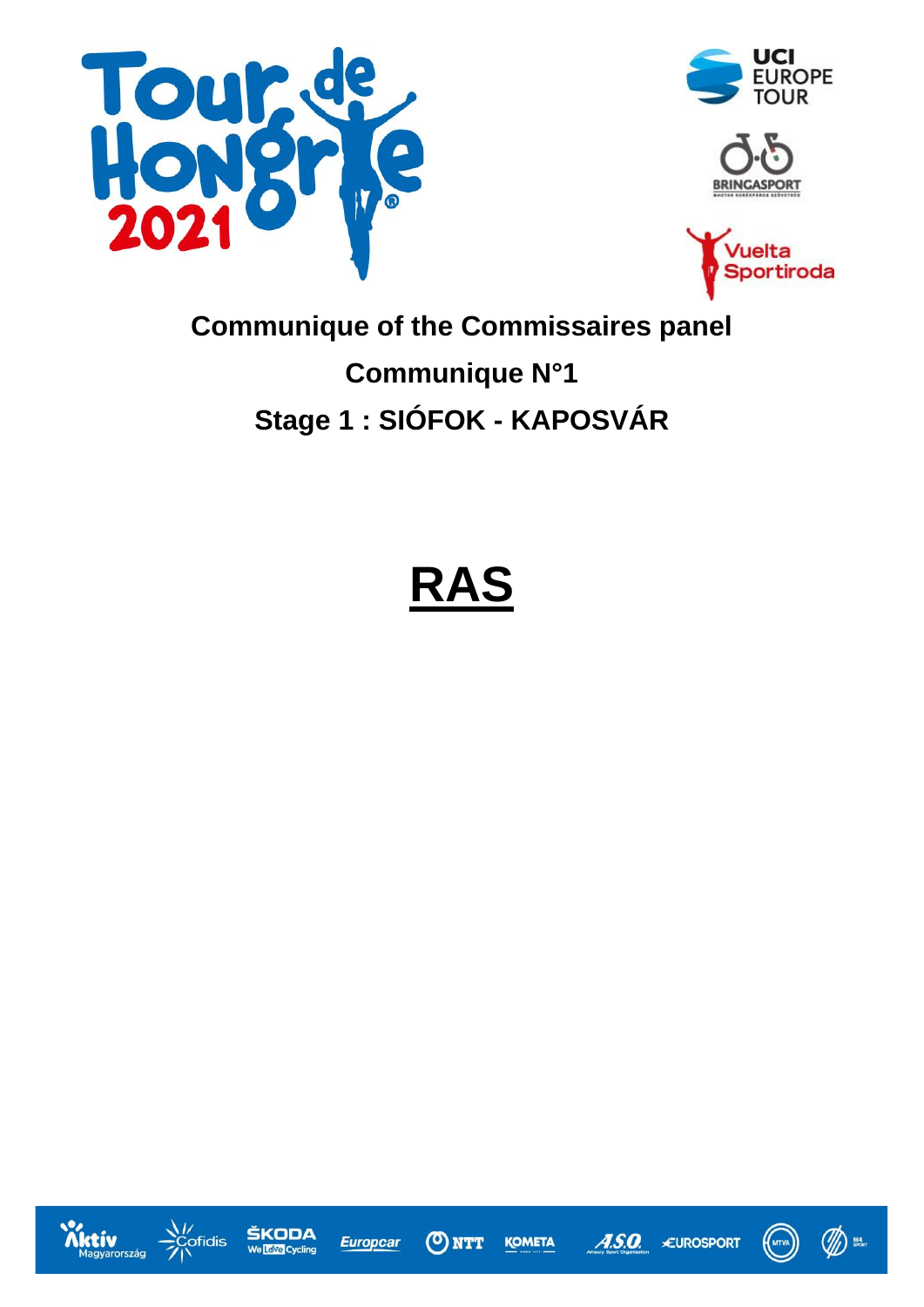







# **Communique of the Commissaires panel Communique N°1 Stage 1 : SIÓFOK - KAPOSVÁR**

# **RAS**